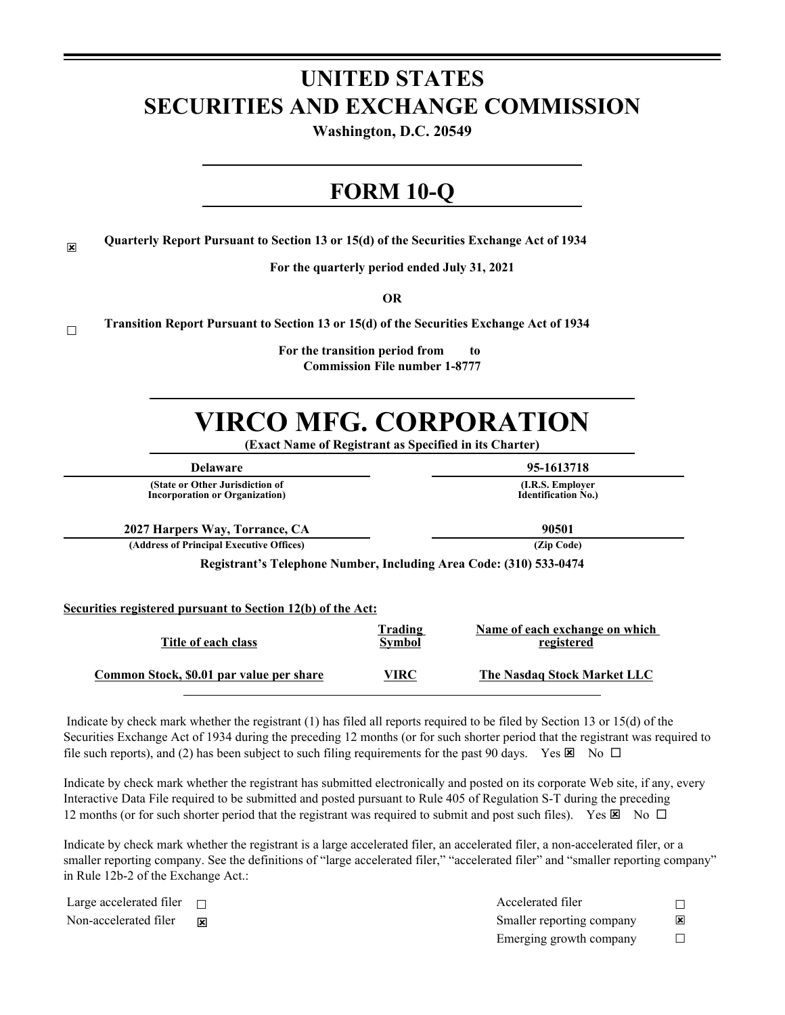# **UNITED STATES SECURITIES AND EXCHANGE COMMISSION**

**Washington, D.C. 20549**

# **FORM 10-Q**

 $\overline{\mathbf{x}}$ **Quarterly Report Pursuant to Section 13 or 15(d) of the Securities Exchange Act of 1934**

**For the quarterly period ended July 31, 2021**

**OR**

☐ **Transition Report Pursuant to Section 13 or 15(d) of the Securities Exchange Act of 1934**

> **For the transition period from to Commission File number 1-8777**

# **VIRCO MFG. CORPORATION**

**(Exact Name of Registrant as Specified in its Charter)**

**(State or Other Jurisdiction of Incorporation or Organization)**

**Delaware 95-1613718**

**(I.R.S. Employer Identification No.)**

**2027 Harpers Way, Torrance, CA 90501**

**(Address of Principal Executive Offices) (Zip Code)**

**Registrant's Telephone Number, Including Area Code: (310) 533-0474**

**Securities registered pursuant to Section 12(b) of the Act:**

| Title of each class                      | <u>Trading</u><br><b>Symbol</b> | Name of each exchange on which<br>registered |
|------------------------------------------|---------------------------------|----------------------------------------------|
| Common Stock, \$0.01 par value per share | VIRC                            | The Nasdag Stock Market LLC                  |

 Indicate by check mark whether the registrant (1) has filed all reports required to be filed by Section 13 or 15(d) of the Securities Exchange Act of 1934 during the preceding 12 months (or for such shorter period that the registrant was required to file such reports), and (2) has been subject to such filing requirements for the past 90 days. Yes  $\boxtimes$  No  $\Box$ 

Indicate by check mark whether the registrant has submitted electronically and posted on its corporate Web site, if any, every Interactive Data File required to be submitted and posted pursuant to Rule 405 of Regulation S-T during the preceding 12 months (or for such shorter period that the registrant was required to submit and post such files). Yes  $\boxtimes$  No  $\square$ 

Indicate by check mark whether the registrant is a large accelerated filer, an accelerated filer, a non-accelerated filer, or a smaller reporting company. See the definitions of "large accelerated filer," "accelerated filer" and "smaller reporting company" in Rule 12b-2 of the Exchange Act.:

| Large accelerated filer $\Box$ | Accelerated filer         |                         |
|--------------------------------|---------------------------|-------------------------|
| Non-accelerated filer          | Smaller reporting company | $\overline{\mathbf{x}}$ |
|                                | Emerging growth company   |                         |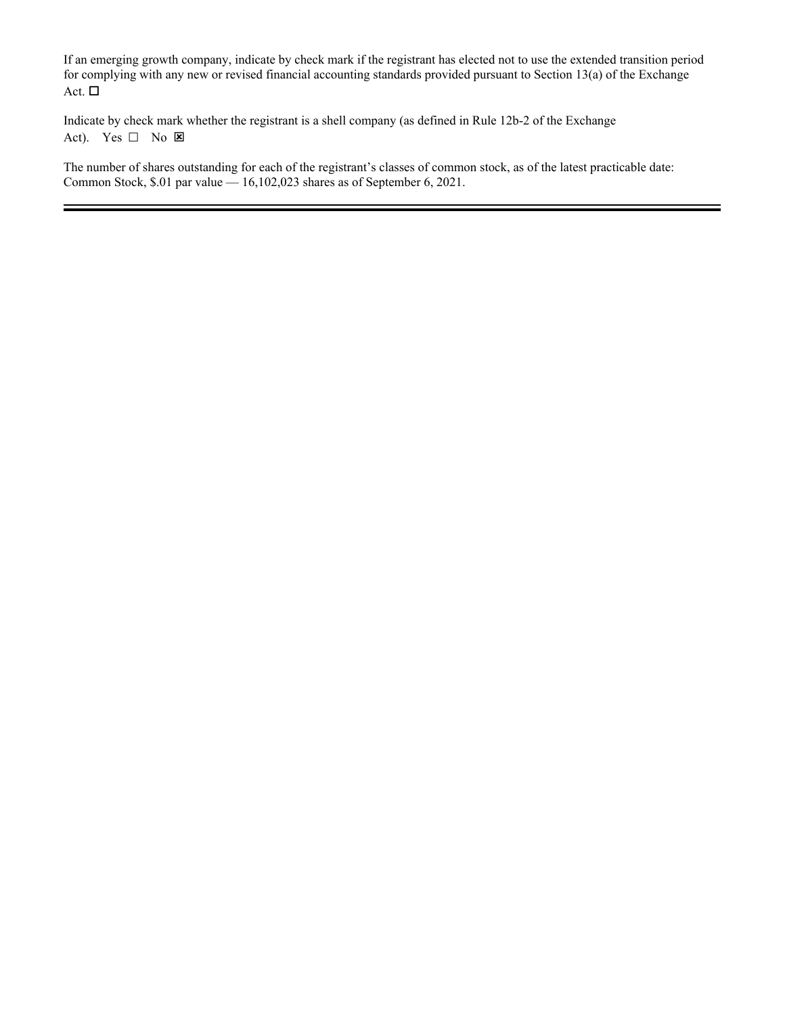If an emerging growth company, indicate by check mark if the registrant has elected not to use the extended transition period for complying with any new or revised financial accounting standards provided pursuant to Section 13(a) of the Exchange Act.  $\Box$ 

Indicate by check mark whether the registrant is a shell company (as defined in Rule 12b-2 of the Exchange Act). Yes  $\Box$  No  $\boxtimes$ 

The number of shares outstanding for each of the registrant's classes of common stock, as of the latest practicable date: Common Stock, \$.01 par value — 16,102,023 shares as of September 6, 2021.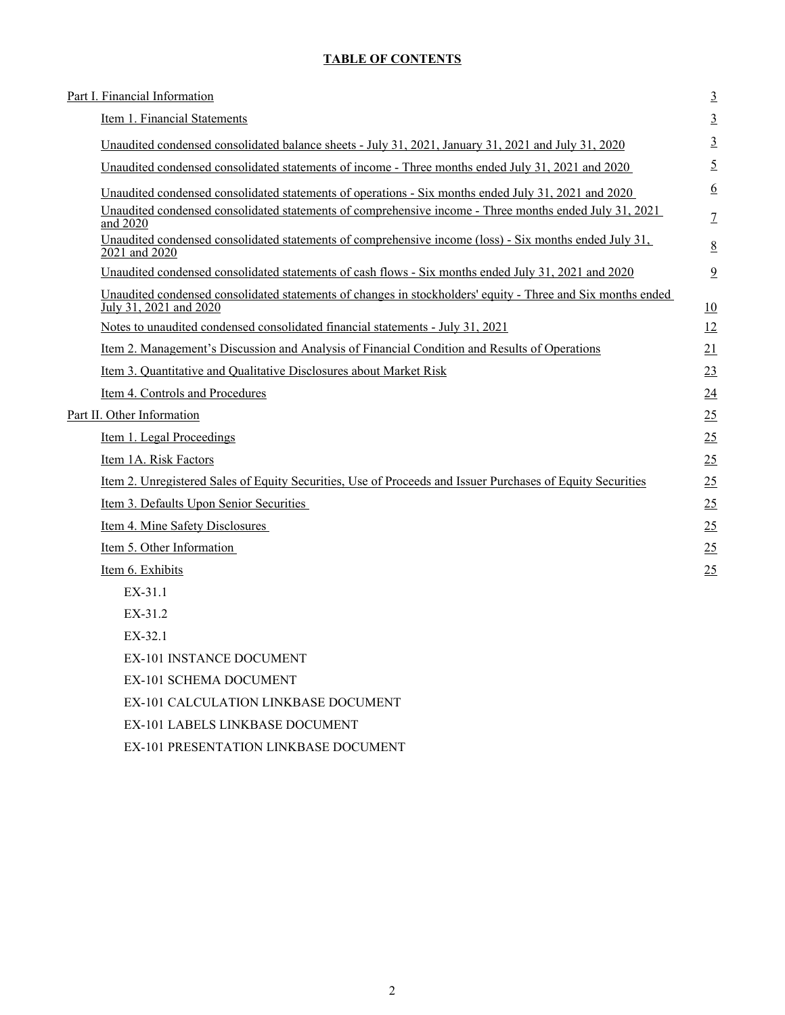# **TABLE OF CONTENTS**

| Part I. Financial Information                                                                                                         | $\overline{3}$ |
|---------------------------------------------------------------------------------------------------------------------------------------|----------------|
| Item 1. Financial Statements                                                                                                          | $\overline{3}$ |
| Unaudited condensed consolidated balance sheets - July 31, 2021, January 31, 2021 and July 31, 2020                                   | $\overline{3}$ |
| Unaudited condensed consolidated statements of income - Three months ended July 31, 2021 and 2020                                     | $\overline{5}$ |
| Unaudited condensed consolidated statements of operations - Six months ended July 31, 2021 and 2020                                   | 6              |
| Unaudited condensed consolidated statements of comprehensive income - Three months ended July 31, 2021<br>and 2020                    | $\overline{1}$ |
| Unaudited condensed consolidated statements of comprehensive income (loss) - Six months ended July 31,<br>2021 and 2020               | 8              |
| Unaudited condensed consolidated statements of cash flows - Six months ended July 31, 2021 and 2020                                   | $\overline{9}$ |
| Unaudited condensed consolidated statements of changes in stockholders' equity - Three and Six months ended<br>July 31, 2021 and 2020 | 10             |
| Notes to unaudited condensed consolidated financial statements - July 31, 2021                                                        | 12             |
| Item 2. Management's Discussion and Analysis of Financial Condition and Results of Operations                                         | 21             |
| Item 3. Quantitative and Qualitative Disclosures about Market Risk                                                                    | 23             |
| Item 4. Controls and Procedures                                                                                                       | 24             |
| Part II. Other Information                                                                                                            | 25             |
| Item 1. Legal Proceedings                                                                                                             | 25             |
| Item 1A. Risk Factors                                                                                                                 | 25             |
| Item 2. Unregistered Sales of Equity Securities, Use of Proceeds and Issuer Purchases of Equity Securities                            | 25             |
| Item 3. Defaults Upon Senior Securities                                                                                               | 25             |
| Item 4. Mine Safety Disclosures                                                                                                       | 25             |
| Item 5. Other Information                                                                                                             | 25             |
| Item 6. Exhibits                                                                                                                      | 25             |
| EX-31.1                                                                                                                               |                |
| $EX-31.2$                                                                                                                             |                |
| $EX-32.1$                                                                                                                             |                |
| <b>EX-101 INSTANCE DOCUMENT</b>                                                                                                       |                |
| <b>EX-101 SCHEMA DOCUMENT</b>                                                                                                         |                |
| EX-101 CALCULATION LINKBASE DOCUMENT                                                                                                  |                |
|                                                                                                                                       |                |

EX-101 LABELS LINKBASE DOCUMENT

EX-101 PRESENTATION LINKBASE DOCUMENT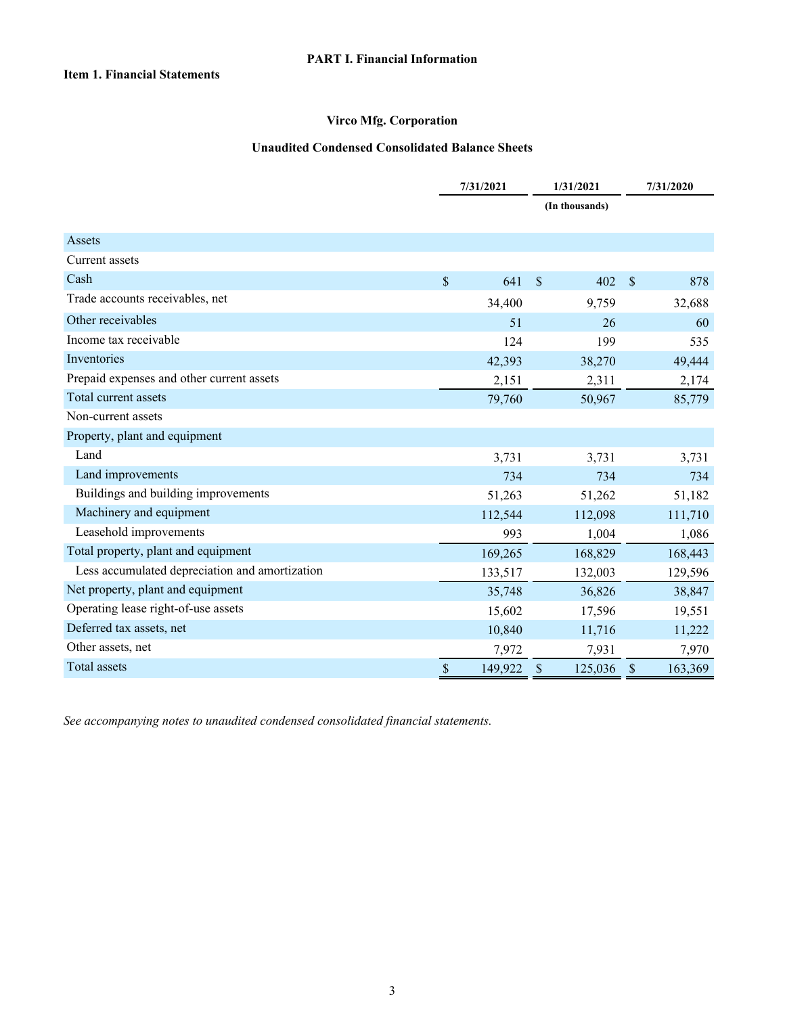# **Unaudited Condensed Consolidated Balance Sheets**

<span id="page-3-0"></span>

|                                                | 7/31/2021 |         | 1/31/2021     |                |               | 7/31/2020 |
|------------------------------------------------|-----------|---------|---------------|----------------|---------------|-----------|
|                                                |           |         |               | (In thousands) |               |           |
|                                                |           |         |               |                |               |           |
| Assets                                         |           |         |               |                |               |           |
| Current assets                                 |           |         |               |                |               |           |
| Cash                                           | \$        | 641     | $\mathcal{S}$ | 402            | $\mathcal{S}$ | 878       |
| Trade accounts receivables, net                |           | 34,400  |               | 9,759          |               | 32,688    |
| Other receivables                              |           | 51      |               | 26             |               | 60        |
| Income tax receivable                          |           | 124     |               | 199            |               | 535       |
| Inventories                                    |           | 42,393  |               | 38,270         |               | 49,444    |
| Prepaid expenses and other current assets      |           | 2,151   |               | 2,311          |               | 2,174     |
| Total current assets                           |           | 79,760  |               | 50,967         |               | 85,779    |
| Non-current assets                             |           |         |               |                |               |           |
| Property, plant and equipment                  |           |         |               |                |               |           |
| Land                                           |           | 3,731   |               | 3,731          |               | 3,731     |
| Land improvements                              |           | 734     |               | 734            |               | 734       |
| Buildings and building improvements            |           | 51,263  |               | 51,262         |               | 51,182    |
| Machinery and equipment                        |           | 112,544 |               | 112,098        |               | 111,710   |
| Leasehold improvements                         |           | 993     |               | 1,004          |               | 1,086     |
| Total property, plant and equipment            |           | 169,265 |               | 168,829        |               | 168,443   |
| Less accumulated depreciation and amortization |           | 133,517 |               | 132,003        |               | 129,596   |
| Net property, plant and equipment              |           | 35,748  |               | 36,826         |               | 38,847    |
| Operating lease right-of-use assets            |           | 15,602  |               | 17,596         |               | 19,551    |
| Deferred tax assets, net                       |           | 10,840  |               | 11,716         |               | 11,222    |
| Other assets, net                              |           | 7,972   |               | 7,931          |               | 7,970     |
| <b>Total assets</b>                            | \$        | 149,922 | $\mathcal{S}$ | 125,036        | $\mathcal{S}$ | 163,369   |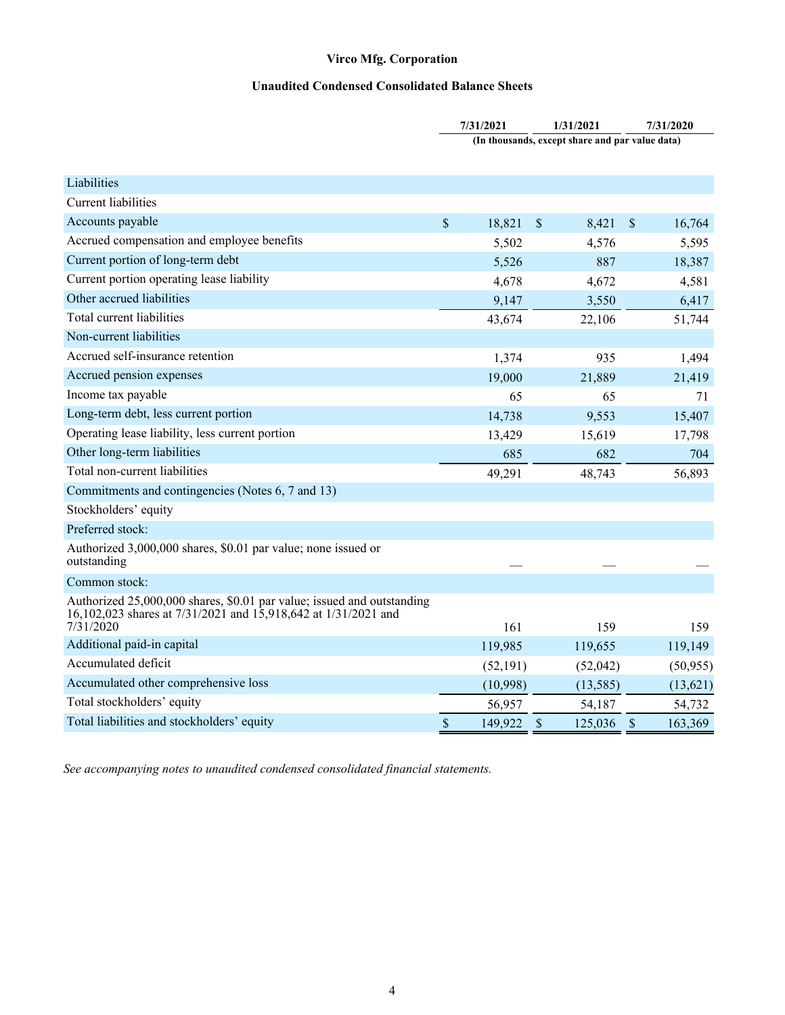# **Unaudited Condensed Consolidated Balance Sheets**

|                                                                                                                                          |               | 7/31/2021 | 1/31/2021                                       |               | 7/31/2020 |
|------------------------------------------------------------------------------------------------------------------------------------------|---------------|-----------|-------------------------------------------------|---------------|-----------|
|                                                                                                                                          |               |           | (In thousands, except share and par value data) |               |           |
|                                                                                                                                          |               |           |                                                 |               |           |
| Liabilities                                                                                                                              |               |           |                                                 |               |           |
| <b>Current liabilities</b>                                                                                                               |               |           |                                                 |               |           |
| Accounts payable                                                                                                                         | $\mathsf{\$}$ | 18,821    | \$<br>8,421                                     | \$            | 16,764    |
| Accrued compensation and employee benefits                                                                                               |               | 5,502     | 4,576                                           |               | 5,595     |
| Current portion of long-term debt                                                                                                        |               | 5,526     | 887                                             |               | 18,387    |
| Current portion operating lease liability                                                                                                |               | 4,678     | 4,672                                           |               | 4,581     |
| Other accrued liabilities                                                                                                                |               | 9,147     | 3,550                                           |               | 6,417     |
| Total current liabilities                                                                                                                |               | 43,674    | 22,106                                          |               | 51,744    |
| Non-current liabilities                                                                                                                  |               |           |                                                 |               |           |
| Accrued self-insurance retention                                                                                                         |               | 1,374     | 935                                             |               | 1,494     |
| Accrued pension expenses                                                                                                                 |               | 19,000    | 21,889                                          |               | 21,419    |
| Income tax payable                                                                                                                       |               | 65        | 65                                              |               | 71        |
| Long-term debt, less current portion                                                                                                     |               | 14,738    | 9,553                                           |               | 15,407    |
| Operating lease liability, less current portion                                                                                          |               | 13,429    | 15,619                                          |               | 17,798    |
| Other long-term liabilities                                                                                                              |               | 685       | 682                                             |               | 704       |
| Total non-current liabilities                                                                                                            |               | 49,291    | 48,743                                          |               | 56,893    |
| Commitments and contingencies (Notes 6, 7 and 13)                                                                                        |               |           |                                                 |               |           |
| Stockholders' equity                                                                                                                     |               |           |                                                 |               |           |
| Preferred stock:                                                                                                                         |               |           |                                                 |               |           |
| Authorized 3,000,000 shares, \$0.01 par value; none issued or<br>outstanding                                                             |               |           |                                                 |               |           |
| Common stock:                                                                                                                            |               |           |                                                 |               |           |
| Authorized 25,000,000 shares, \$0.01 par value; issued and outstanding<br>16,102,023 shares at 7/31/2021 and 15,918,642 at 1/31/2021 and |               |           |                                                 |               |           |
| 7/31/2020                                                                                                                                |               | 161       | 159                                             |               | 159       |
| Additional paid-in capital<br>Accumulated deficit                                                                                        |               | 119,985   | 119,655                                         |               | 119,149   |
|                                                                                                                                          |               | (52, 191) | (52,042)                                        |               | (50, 955) |
| Accumulated other comprehensive loss                                                                                                     |               | (10,998)  | (13, 585)                                       |               | (13,621)  |
| Total stockholders' equity                                                                                                               |               | 56,957    | 54,187                                          |               | 54,732    |
| Total liabilities and stockholders' equity                                                                                               | \$            | 149,922   | \$<br>125,036                                   | $\mathcal{S}$ | 163,369   |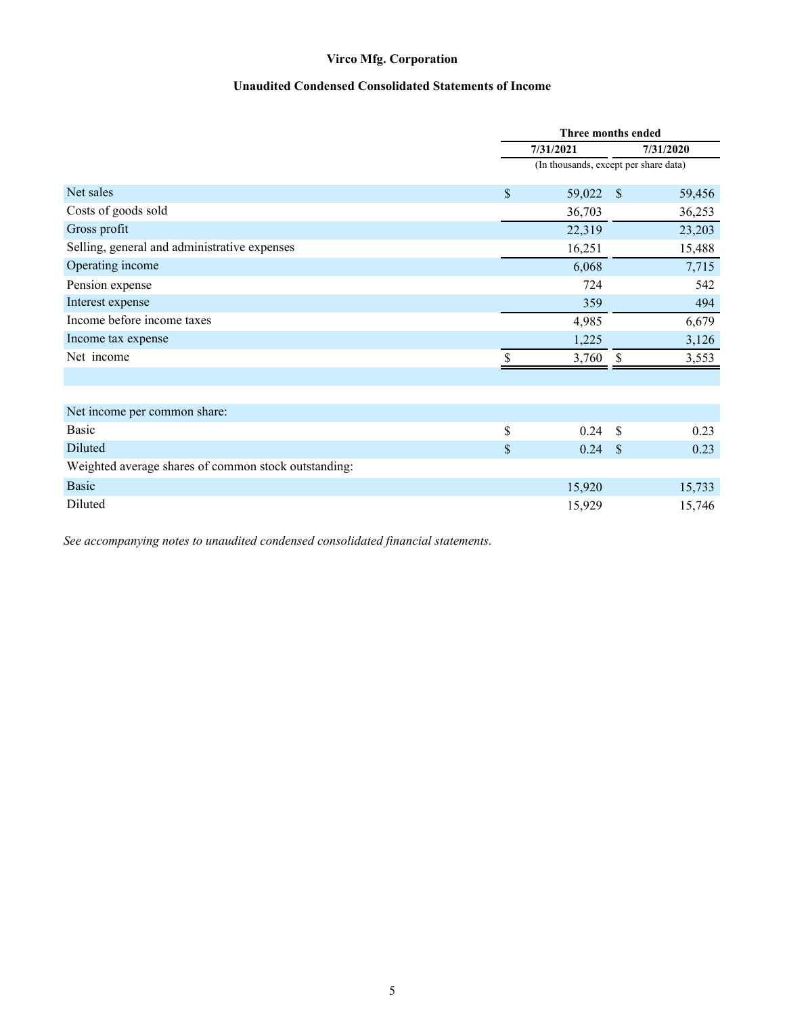# **Unaudited Condensed Consolidated Statements of Income**

<span id="page-5-0"></span>

|                                                      | Three months ended                    |                      |           |  |  |
|------------------------------------------------------|---------------------------------------|----------------------|-----------|--|--|
|                                                      | 7/31/2021                             |                      | 7/31/2020 |  |  |
|                                                      | (In thousands, except per share data) |                      |           |  |  |
| Net sales                                            | \$<br>59,022                          | $\sqrt{\frac{2}{5}}$ | 59,456    |  |  |
| Costs of goods sold                                  | 36,703                                |                      | 36,253    |  |  |
| Gross profit                                         | 22,319                                |                      | 23,203    |  |  |
| Selling, general and administrative expenses         | 16,251                                |                      | 15,488    |  |  |
| Operating income                                     | 6,068                                 |                      | 7,715     |  |  |
| Pension expense                                      | 724                                   |                      | 542       |  |  |
| Interest expense                                     | 359                                   |                      | 494       |  |  |
| Income before income taxes                           | 4,985                                 |                      | 6,679     |  |  |
| Income tax expense                                   | 1,225                                 |                      | 3,126     |  |  |
| Net income                                           | \$<br>3,760                           | S                    | 3,553     |  |  |
|                                                      |                                       |                      |           |  |  |
|                                                      |                                       |                      |           |  |  |
| Net income per common share:                         |                                       |                      |           |  |  |
| Basic                                                | \$<br>0.24                            | <sup>\$</sup>        | 0.23      |  |  |
| Diluted                                              | \$<br>0.24                            | $\mathcal{S}$        | 0.23      |  |  |
| Weighted average shares of common stock outstanding: |                                       |                      |           |  |  |
| Basic                                                | 15,920                                |                      | 15,733    |  |  |
| Diluted                                              | 15,929                                |                      | 15,746    |  |  |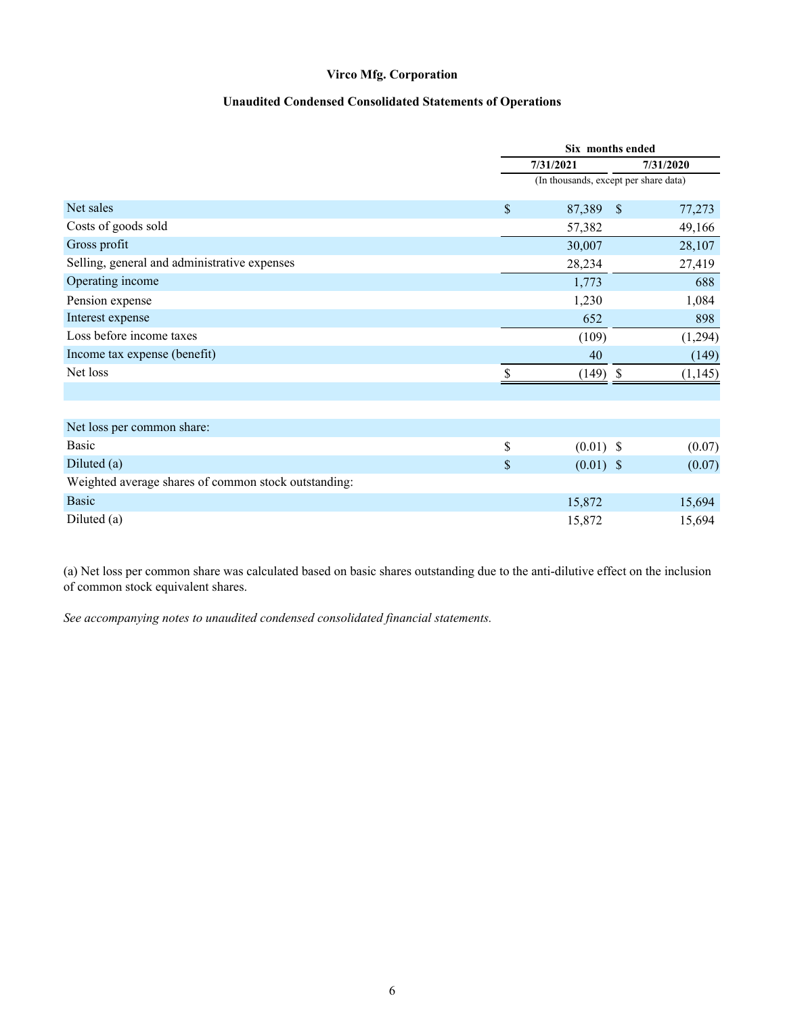# **Unaudited Condensed Consolidated Statements of Operations**

<span id="page-6-0"></span>

|                                                      |      | Six months ended                      |               |           |  |  |
|------------------------------------------------------|------|---------------------------------------|---------------|-----------|--|--|
|                                                      |      | 7/31/2021                             |               | 7/31/2020 |  |  |
|                                                      |      | (In thousands, except per share data) |               |           |  |  |
| Net sales                                            | $\$$ | 87,389                                | $\mathcal{S}$ | 77,273    |  |  |
| Costs of goods sold                                  |      | 57,382                                |               | 49,166    |  |  |
| Gross profit                                         |      | 30,007                                |               | 28,107    |  |  |
| Selling, general and administrative expenses         |      | 28,234                                |               | 27,419    |  |  |
| Operating income                                     |      | 1,773                                 |               | 688       |  |  |
| Pension expense                                      |      | 1,230                                 |               | 1,084     |  |  |
| Interest expense                                     |      | 652                                   |               | 898       |  |  |
| Loss before income taxes                             |      | (109)                                 |               | (1,294)   |  |  |
| Income tax expense (benefit)                         |      | 40                                    |               | (149)     |  |  |
| Net loss                                             | \$   | (149)                                 | S             | (1, 145)  |  |  |
|                                                      |      |                                       |               |           |  |  |
|                                                      |      |                                       |               |           |  |  |
| Net loss per common share:                           |      |                                       |               |           |  |  |
| <b>Basic</b>                                         | \$   | $(0.01)$ \$                           |               | (0.07)    |  |  |
| Diluted $(a)$                                        | \$   | $(0.01)$ \$                           |               | (0.07)    |  |  |
| Weighted average shares of common stock outstanding: |      |                                       |               |           |  |  |
| <b>Basic</b>                                         |      | 15,872                                |               | 15,694    |  |  |
| Diluted (a)                                          |      | 15,872                                |               | 15,694    |  |  |

(a) Net loss per common share was calculated based on basic shares outstanding due to the anti-dilutive effect on the inclusion of common stock equivalent shares.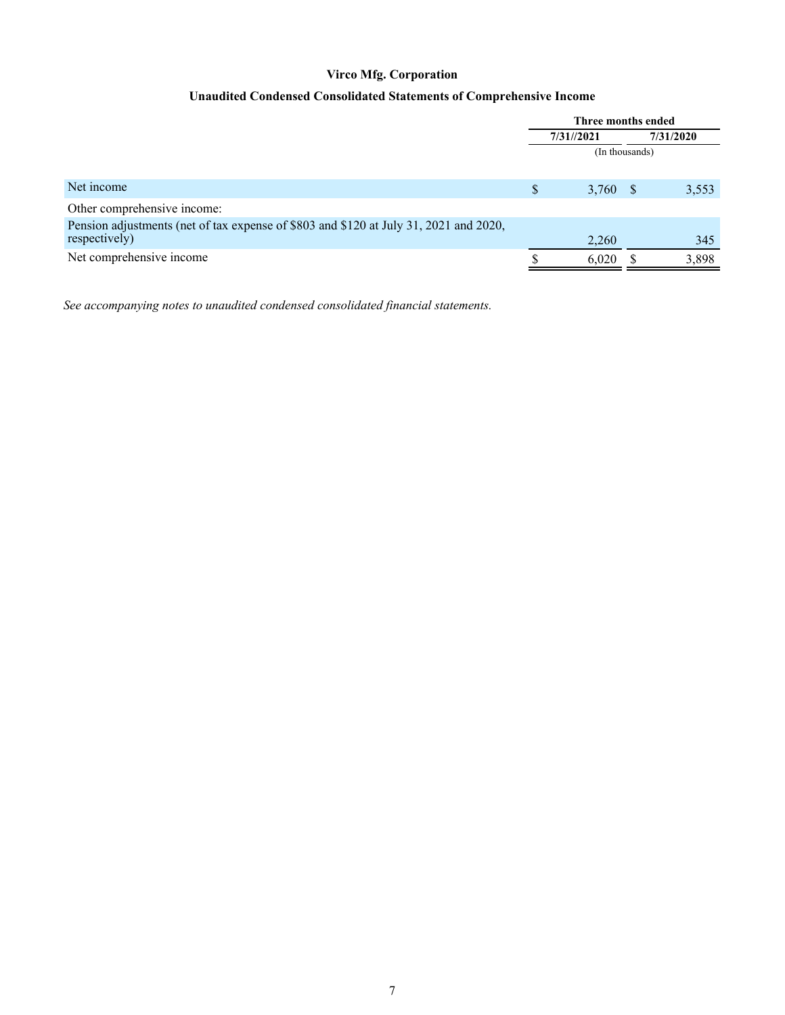# **Unaudited Condensed Consolidated Statements of Comprehensive Income**

<span id="page-7-0"></span>

|                                                                                       | Three months ended |           |           |       |
|---------------------------------------------------------------------------------------|--------------------|-----------|-----------|-------|
|                                                                                       |                    | 7/31/2021 | 7/31/2020 |       |
|                                                                                       |                    |           |           |       |
|                                                                                       |                    |           |           |       |
| Net income                                                                            | \$                 | 3,760     |           | 3,553 |
| Other comprehensive income:                                                           |                    |           |           |       |
| Pension adjustments (net of tax expense of \$803 and \$120 at July 31, 2021 and 2020, |                    |           |           |       |
| respectively)                                                                         |                    | 2,260     |           | 345   |
| Net comprehensive income                                                              |                    | 6,020     |           | 3,898 |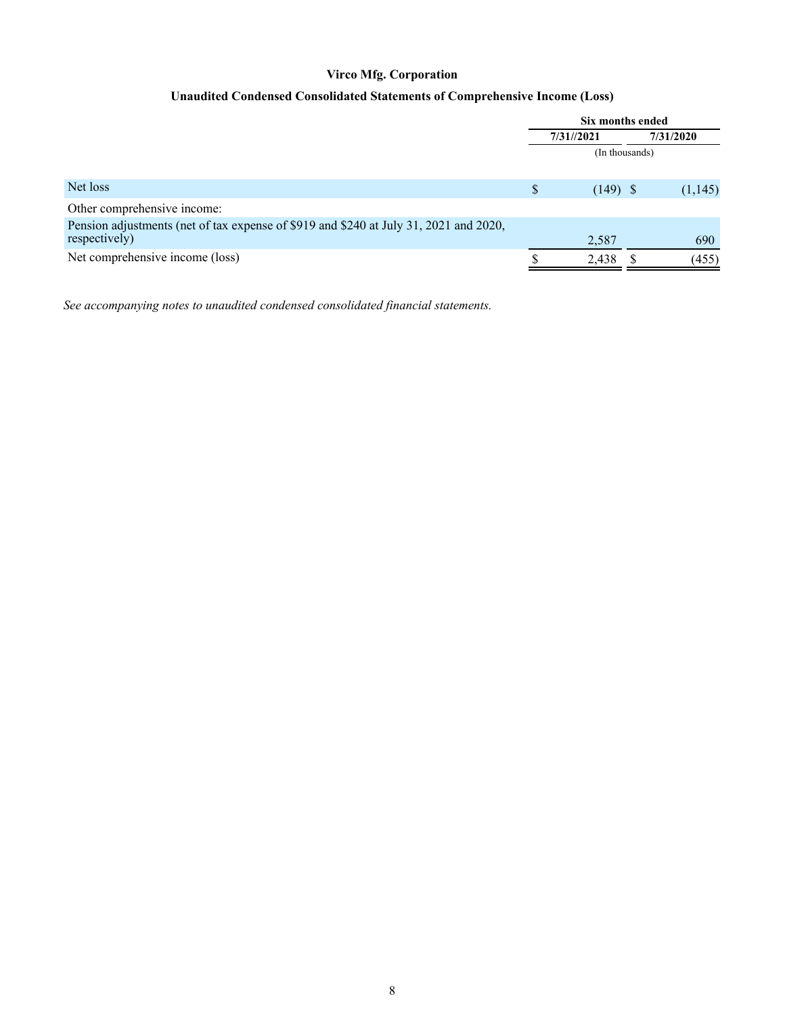| Unaudited Condensed Consolidated Statements of Comprehensive Income (Loss) |  |  |
|----------------------------------------------------------------------------|--|--|
|----------------------------------------------------------------------------|--|--|

<span id="page-8-0"></span>

|                                                                                                        | Six months ended |            |  |           |
|--------------------------------------------------------------------------------------------------------|------------------|------------|--|-----------|
|                                                                                                        | 7/31/2021        |            |  | 7/31/2020 |
|                                                                                                        |                  |            |  |           |
| Net loss                                                                                               | S                | $(149)$ \$ |  | (1, 145)  |
| Other comprehensive income:                                                                            |                  |            |  |           |
| Pension adjustments (net of tax expense of \$919 and \$240 at July 31, 2021 and 2020,<br>respectively) |                  | 2,587      |  | 690       |
| Net comprehensive income (loss)                                                                        |                  | 2,438      |  | (455)     |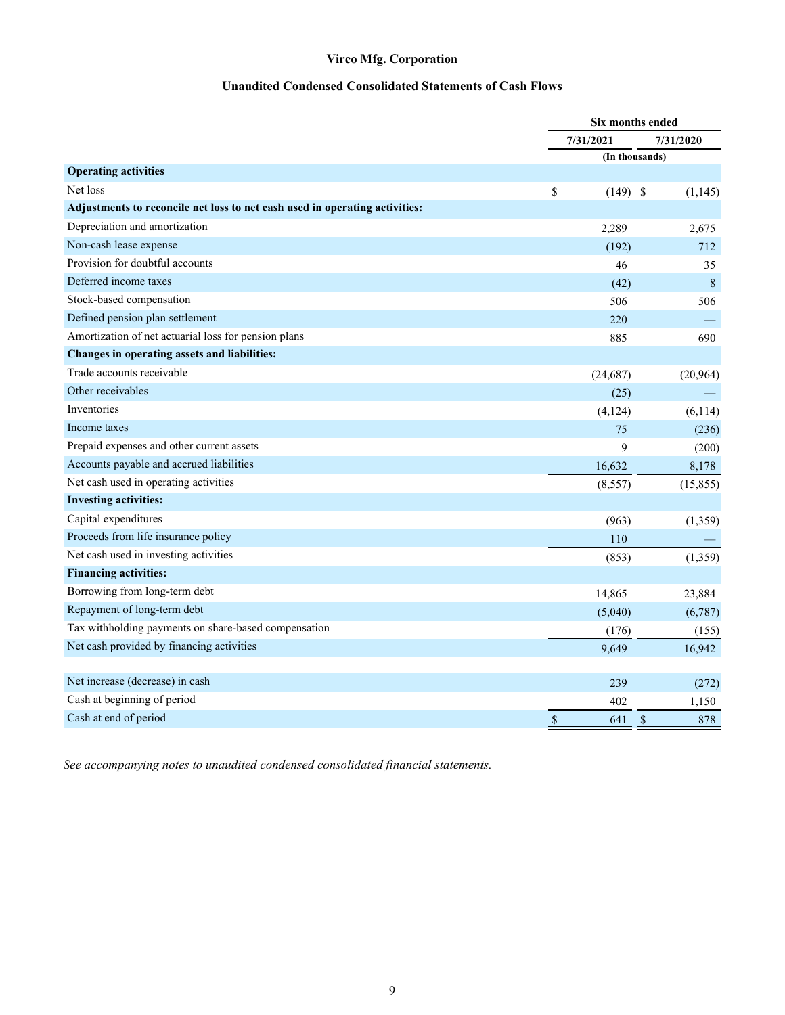# **Unaudited Condensed Consolidated Statements of Cash Flows**

<span id="page-9-0"></span>

|                                                                             |             | Six months ended |      |           |
|-----------------------------------------------------------------------------|-------------|------------------|------|-----------|
|                                                                             |             | 7/31/2021        |      | 7/31/2020 |
|                                                                             |             | (In thousands)   |      |           |
| <b>Operating activities</b>                                                 |             |                  |      |           |
| Net loss                                                                    | \$          | $(149)$ \$       |      | (1, 145)  |
| Adjustments to reconcile net loss to net cash used in operating activities: |             |                  |      |           |
| Depreciation and amortization                                               |             | 2,289            |      | 2,675     |
| Non-cash lease expense                                                      |             | (192)            |      | 712       |
| Provision for doubtful accounts                                             |             | 46               |      | 35        |
| Deferred income taxes                                                       |             | (42)             |      | 8         |
| Stock-based compensation                                                    |             | 506              |      | 506       |
| Defined pension plan settlement                                             |             | 220              |      |           |
| Amortization of net actuarial loss for pension plans                        |             | 885              |      | 690       |
| Changes in operating assets and liabilities:                                |             |                  |      |           |
| Trade accounts receivable                                                   |             | (24, 687)        |      | (20, 964) |
| Other receivables                                                           |             | (25)             |      |           |
| <b>Inventories</b>                                                          |             | (4, 124)         |      | (6, 114)  |
| Income taxes                                                                |             | 75               |      | (236)     |
| Prepaid expenses and other current assets                                   |             | 9                |      | (200)     |
| Accounts payable and accrued liabilities                                    |             | 16,632           |      | 8,178     |
| Net cash used in operating activities                                       |             | (8, 557)         |      | (15, 855) |
| <b>Investing activities:</b>                                                |             |                  |      |           |
| Capital expenditures                                                        |             | (963)            |      | (1,359)   |
| Proceeds from life insurance policy                                         |             | 110              |      |           |
| Net cash used in investing activities                                       |             | (853)            |      | (1,359)   |
| <b>Financing activities:</b>                                                |             |                  |      |           |
| Borrowing from long-term debt                                               |             | 14,865           |      | 23,884    |
| Repayment of long-term debt                                                 |             | (5,040)          |      | (6,787)   |
| Tax withholding payments on share-based compensation                        |             | (176)            |      | (155)     |
| Net cash provided by financing activities                                   |             | 9,649            |      | 16,942    |
| Net increase (decrease) in cash                                             |             | 239              |      | (272)     |
| Cash at beginning of period                                                 |             | 402              |      | 1,150     |
| Cash at end of period                                                       | $\mathbb S$ | 641              | $\$$ | 878       |
|                                                                             |             |                  |      |           |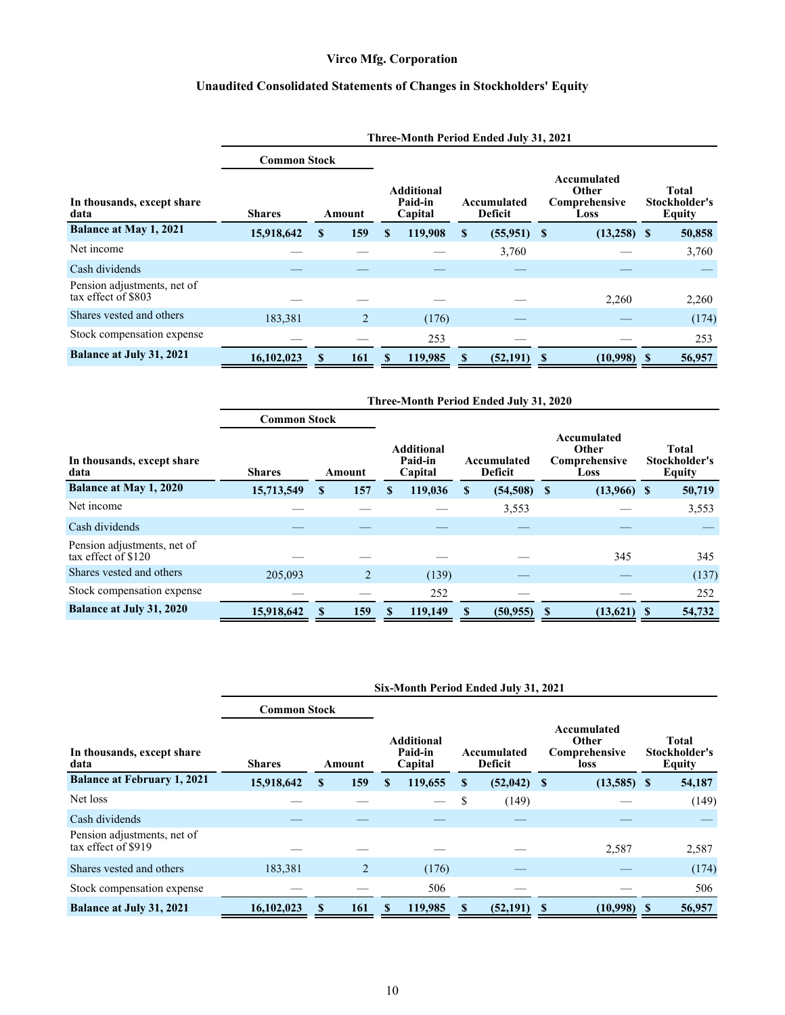#### **Unaudited Consolidated Statements of Changes in Stockholders' Equity**

<span id="page-10-0"></span>

|                                                    | <b>Three-Month Period Ended July 31, 2021</b> |        |     |                                                                          |         |                                               |               |  |               |                                         |        |
|----------------------------------------------------|-----------------------------------------------|--------|-----|--------------------------------------------------------------------------|---------|-----------------------------------------------|---------------|--|---------------|-----------------------------------------|--------|
|                                                    | <b>Common Stock</b>                           |        |     |                                                                          |         |                                               |               |  |               |                                         |        |
| In thousands, except share<br>data                 | <b>Shares</b>                                 | Amount |     | <b>Additional</b><br>Paid-in<br>Accumulated<br><b>Deficit</b><br>Capital |         | Accumulated<br>Other<br>Comprehensive<br>Loss |               |  |               | Total<br>Stockholder's<br><b>Equity</b> |        |
| Balance at May 1, 2021                             | 15,918,642                                    | S      | 159 | S                                                                        | 119,908 | S                                             | $(55,951)$ \$ |  | $(13,258)$ \$ |                                         | 50,858 |
| Net income                                         |                                               |        |     |                                                                          |         |                                               | 3,760         |  |               |                                         | 3,760  |
| Cash dividends                                     |                                               |        |     |                                                                          |         |                                               |               |  |               |                                         |        |
| Pension adjustments, net of<br>tax effect of \$803 |                                               |        |     |                                                                          |         |                                               |               |  | 2,260         |                                         | 2,260  |
| Shares vested and others                           | 183,381                                       |        | 2   |                                                                          | (176)   |                                               |               |  |               |                                         | (174)  |
| Stock compensation expense                         |                                               |        |     |                                                                          | 253     |                                               |               |  |               |                                         | 253    |
| <b>Balance at July 31, 2021</b>                    | 16,102,023                                    |        | 161 | \$.                                                                      | 119,985 |                                               | (52, 191)     |  | (10,998)      |                                         | 56,957 |

#### **Three-Month Period Ended July 31, 2020 Common Stock In thousands, except share data Shares Amount Additional Paid-in Capital Accumulated Deficit Accumulated Other Comprehensive Loss Total Stockholder's Equity Balance at May 1, 2020** 15,713,549 **6** 157 **6** 119,036 **6** (54,508) **6** (13,966) **6** 50,719 Net income  $3,553$   $3,553$  $\epsilon$  Cash dividends  $\epsilon$  and  $\epsilon$  and  $\epsilon$  and  $\epsilon$  and  $\epsilon$  and  $\epsilon$  and  $\epsilon$  and  $\epsilon$  and  $\epsilon$  and  $\epsilon$  and  $\epsilon$  and  $\epsilon$  and  $\epsilon$  and  $\epsilon$  and  $\epsilon$  and  $\epsilon$  and  $\epsilon$  and  $\epsilon$  and  $\epsilon$  and  $\epsilon$  and  $\epsilon$  and  $\epsilon$  and  $\epsilon$ Pension adjustments, net of tax effect of \$120 **— — — — — — — —** 345 345 Shares vested and others 205,093 2 (139) — (137) Stock compensation expense — — 252 — 252 — 252 **Balance at July 31, 2020** 15,918,642 **8** 159 **8** 119,149 **8** (50,955) **8** (13,621) **8** 54,732

|                                                    | Six-Month Period Ended July 31, 2021 |   |                |   |                                         |    |                               |    |                                               |    |                                         |  |
|----------------------------------------------------|--------------------------------------|---|----------------|---|-----------------------------------------|----|-------------------------------|----|-----------------------------------------------|----|-----------------------------------------|--|
|                                                    | <b>Common Stock</b>                  |   |                |   |                                         |    |                               |    |                                               |    |                                         |  |
| In thousands, except share<br>data                 | <b>Shares</b>                        |   | Amount         |   | <b>Additional</b><br>Paid-in<br>Capital |    | Accumulated<br><b>Deficit</b> |    | Accumulated<br>Other<br>Comprehensive<br>loss |    | Total<br>Stockholder's<br><b>Equity</b> |  |
| <b>Balance at February 1, 2021</b>                 | 15,918,642                           | S | 159            | S | 119,655                                 | S  | $(52,042)$ \$                 |    | $(13,585)$ \$                                 |    | 54,187                                  |  |
| Net loss                                           |                                      |   |                |   |                                         | \$ | (149)                         |    |                                               |    | (149)                                   |  |
| Cash dividends                                     |                                      |   |                |   |                                         |    |                               |    |                                               |    |                                         |  |
| Pension adjustments, net of<br>tax effect of \$919 |                                      |   |                |   |                                         |    |                               |    | 2,587                                         |    | 2,587                                   |  |
| Shares vested and others                           | 183,381                              |   | $\overline{2}$ |   | (176)                                   |    |                               |    |                                               |    | (174)                                   |  |
| Stock compensation expense                         |                                      |   |                |   | 506                                     |    |                               |    |                                               |    | 506                                     |  |
| <b>Balance at July 31, 2021</b>                    | 16,102,023                           |   | 161            |   | 119,985                                 |    | (52, 191)                     | -S | (10,998)                                      | -S | 56,957                                  |  |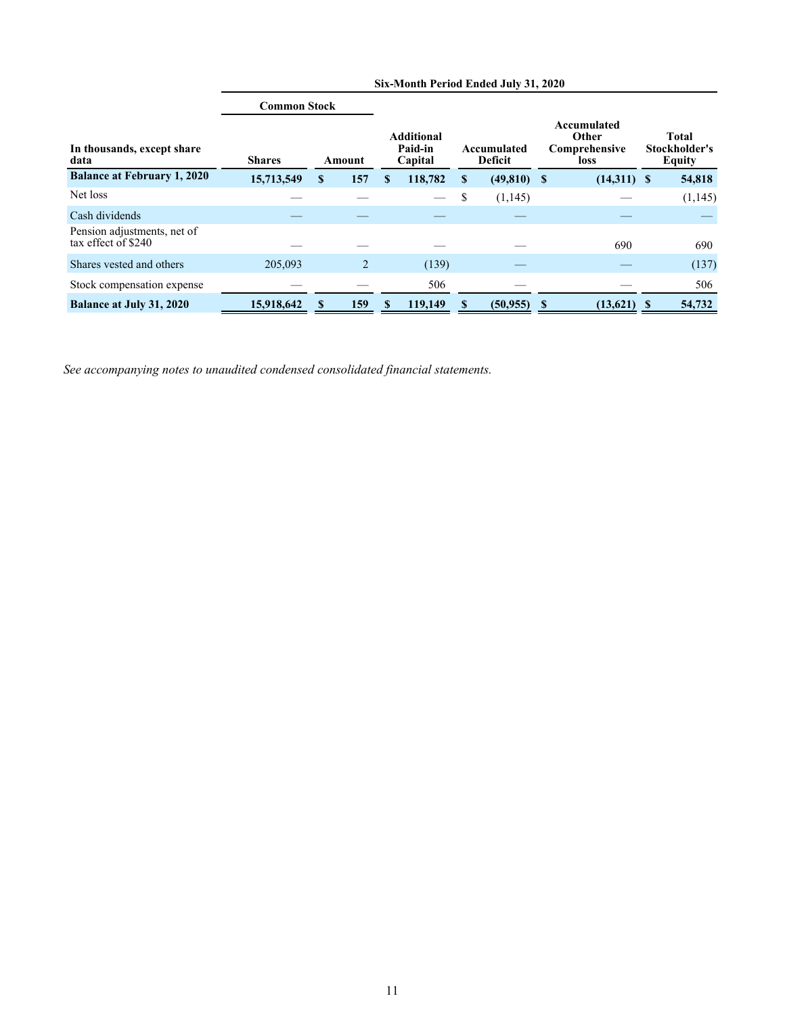|                                                    | <b>Common Stock</b> |                |                                                                          |         |                                               |               |                                         |               |  |          |
|----------------------------------------------------|---------------------|----------------|--------------------------------------------------------------------------|---------|-----------------------------------------------|---------------|-----------------------------------------|---------------|--|----------|
| In thousands, except share<br>data                 | <b>Shares</b>       | Amount         | <b>Additional</b><br>Paid-in<br>Accumulated<br><b>Deficit</b><br>Capital |         | Accumulated<br>Other<br>Comprehensive<br>loss |               | <b>Total</b><br>Stockholder's<br>Equity |               |  |          |
| <b>Balance at February 1, 2020</b>                 | 15,713,549          | \$<br>157      | S                                                                        | 118,782 | S                                             | $(49,810)$ \$ |                                         | $(14,311)$ \$ |  | 54,818   |
| Net loss                                           |                     |                |                                                                          |         | \$                                            | (1,145)       |                                         |               |  | (1, 145) |
| Cash dividends                                     |                     |                |                                                                          |         |                                               |               |                                         |               |  |          |
| Pension adjustments, net of<br>tax effect of \$240 |                     |                |                                                                          |         |                                               |               |                                         | 690           |  | 690      |
| Shares vested and others                           | 205,093             | $\overline{2}$ |                                                                          | (139)   |                                               |               |                                         |               |  | (137)    |
| Stock compensation expense                         |                     |                |                                                                          | 506     |                                               |               |                                         |               |  | 506      |
| <b>Balance at July 31, 2020</b>                    | 15,918,642          | 159            |                                                                          | 119,149 |                                               | (50, 955)     |                                         | $(13,621)$ \$ |  | 54,732   |

**Six-Month Period Ended July 31, 2020**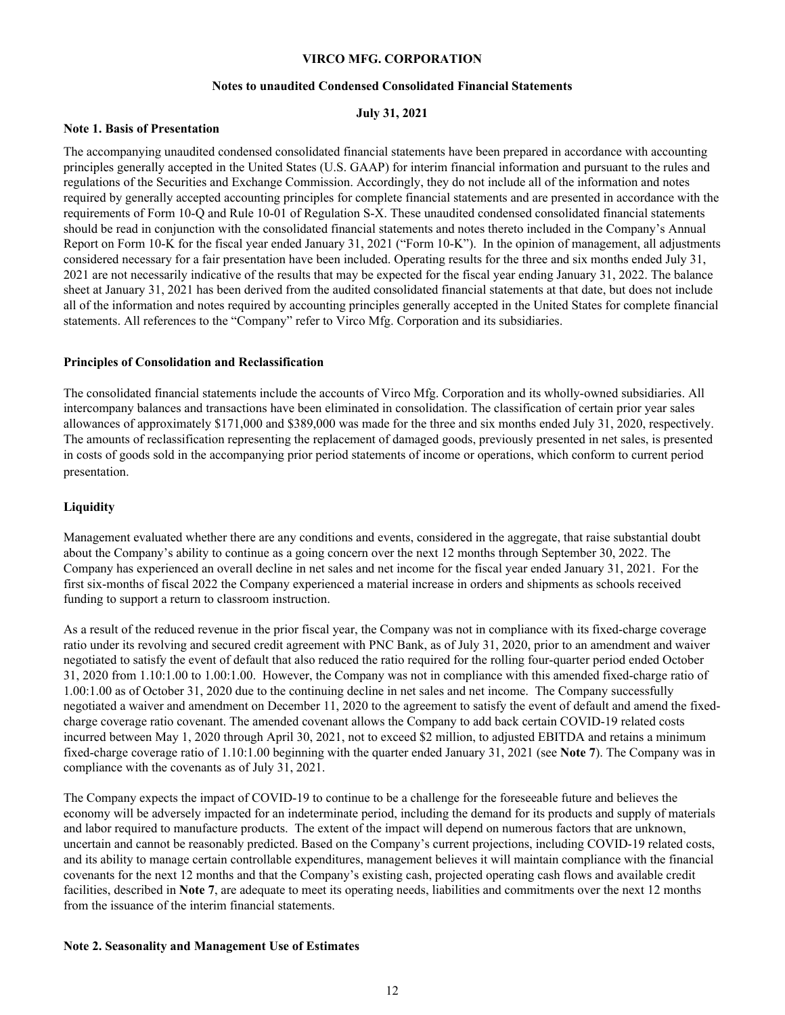#### **VIRCO MFG. CORPORATION**

#### **Notes to unaudited Condensed Consolidated Financial Statements**

#### **July 31, 2021**

#### <span id="page-12-0"></span>**Note 1. Basis of Presentation**

The accompanying unaudited condensed consolidated financial statements have been prepared in accordance with accounting principles generally accepted in the United States (U.S. GAAP) for interim financial information and pursuant to the rules and regulations of the Securities and Exchange Commission. Accordingly, they do not include all of the information and notes required by generally accepted accounting principles for complete financial statements and are presented in accordance with the requirements of Form 10-Q and Rule 10-01 of Regulation S-X. These unaudited condensed consolidated financial statements should be read in conjunction with the consolidated financial statements and notes thereto included in the Company's Annual Report on Form 10-K for the fiscal year ended January 31, 2021 ("Form 10-K"). In the opinion of management, all adjustments considered necessary for a fair presentation have been included. Operating results for the three and six months ended July 31, 2021 are not necessarily indicative of the results that may be expected for the fiscal year ending January 31, 2022. The balance sheet at January 31, 2021 has been derived from the audited consolidated financial statements at that date, but does not include all of the information and notes required by accounting principles generally accepted in the United States for complete financial statements. All references to the "Company" refer to Virco Mfg. Corporation and its subsidiaries.

#### **Principles of Consolidation and Reclassification**

The consolidated financial statements include the accounts of Virco Mfg. Corporation and its wholly-owned subsidiaries. All intercompany balances and transactions have been eliminated in consolidation. The classification of certain prior year sales allowances of approximately \$171,000 and \$389,000 was made for the three and six months ended July 31, 2020, respectively. The amounts of reclassification representing the replacement of damaged goods, previously presented in net sales, is presented in costs of goods sold in the accompanying prior period statements of income or operations, which conform to current period presentation.

#### **Liquidity**

Management evaluated whether there are any conditions and events, considered in the aggregate, that raise substantial doubt about the Company's ability to continue as a going concern over the next 12 months through September 30, 2022. The Company has experienced an overall decline in net sales and net income for the fiscal year ended January 31, 2021. For the first six-months of fiscal 2022 the Company experienced a material increase in orders and shipments as schools received funding to support a return to classroom instruction.

As a result of the reduced revenue in the prior fiscal year, the Company was not in compliance with its fixed-charge coverage ratio under its revolving and secured credit agreement with PNC Bank, as of July 31, 2020, prior to an amendment and waiver negotiated to satisfy the event of default that also reduced the ratio required for the rolling four-quarter period ended October 31, 2020 from 1.10:1.00 to 1.00:1.00. However, the Company was not in compliance with this amended fixed-charge ratio of 1.00:1.00 as of October 31, 2020 due to the continuing decline in net sales and net income. The Company successfully negotiated a waiver and amendment on December 11, 2020 to the agreement to satisfy the event of default and amend the fixedcharge coverage ratio covenant. The amended covenant allows the Company to add back certain COVID-19 related costs incurred between May 1, 2020 through April 30, 2021, not to exceed \$2 million, to adjusted EBITDA and retains a minimum fixed-charge coverage ratio of 1.10:1.00 beginning with the quarter ended January 31, 2021 (see **Note 7**). The Company was in compliance with the covenants as of July 31, 2021.

The Company expects the impact of COVID-19 to continue to be a challenge for the foreseeable future and believes the economy will be adversely impacted for an indeterminate period, including the demand for its products and supply of materials and labor required to manufacture products. The extent of the impact will depend on numerous factors that are unknown, uncertain and cannot be reasonably predicted. Based on the Company's current projections, including COVID-19 related costs, and its ability to manage certain controllable expenditures, management believes it will maintain compliance with the financial covenants for the next 12 months and that the Company's existing cash, projected operating cash flows and available credit facilities, described in **Note 7**, are adequate to meet its operating needs, liabilities and commitments over the next 12 months from the issuance of the interim financial statements.

#### **Note 2. Seasonality and Management Use of Estimates**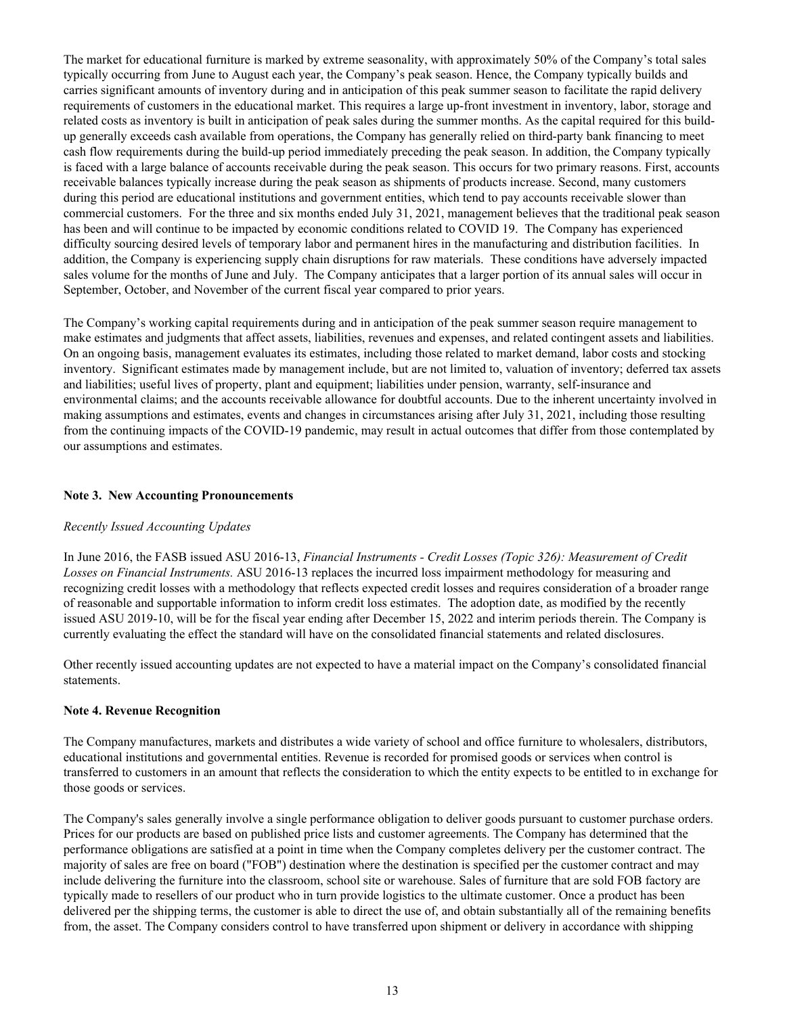The market for educational furniture is marked by extreme seasonality, with approximately 50% of the Company's total sales typically occurring from June to August each year, the Company's peak season. Hence, the Company typically builds and carries significant amounts of inventory during and in anticipation of this peak summer season to facilitate the rapid delivery requirements of customers in the educational market. This requires a large up-front investment in inventory, labor, storage and related costs as inventory is built in anticipation of peak sales during the summer months. As the capital required for this buildup generally exceeds cash available from operations, the Company has generally relied on third-party bank financing to meet cash flow requirements during the build-up period immediately preceding the peak season. In addition, the Company typically is faced with a large balance of accounts receivable during the peak season. This occurs for two primary reasons. First, accounts receivable balances typically increase during the peak season as shipments of products increase. Second, many customers during this period are educational institutions and government entities, which tend to pay accounts receivable slower than commercial customers. For the three and six months ended July 31, 2021, management believes that the traditional peak season has been and will continue to be impacted by economic conditions related to COVID 19. The Company has experienced difficulty sourcing desired levels of temporary labor and permanent hires in the manufacturing and distribution facilities. In addition, the Company is experiencing supply chain disruptions for raw materials. These conditions have adversely impacted sales volume for the months of June and July. The Company anticipates that a larger portion of its annual sales will occur in September, October, and November of the current fiscal year compared to prior years.

The Company's working capital requirements during and in anticipation of the peak summer season require management to make estimates and judgments that affect assets, liabilities, revenues and expenses, and related contingent assets and liabilities. On an ongoing basis, management evaluates its estimates, including those related to market demand, labor costs and stocking inventory. Significant estimates made by management include, but are not limited to, valuation of inventory; deferred tax assets and liabilities; useful lives of property, plant and equipment; liabilities under pension, warranty, self-insurance and environmental claims; and the accounts receivable allowance for doubtful accounts. Due to the inherent uncertainty involved in making assumptions and estimates, events and changes in circumstances arising after July 31, 2021, including those resulting from the continuing impacts of the COVID-19 pandemic, may result in actual outcomes that differ from those contemplated by our assumptions and estimates.

#### **Note 3. New Accounting Pronouncements**

## *Recently Issued Accounting Updates*

In June 2016, the FASB issued ASU 2016-13, *Financial Instruments - Credit Losses (Topic 326): Measurement of Credit Losses on Financial Instruments.* ASU 2016-13 replaces the incurred loss impairment methodology for measuring and recognizing credit losses with a methodology that reflects expected credit losses and requires consideration of a broader range of reasonable and supportable information to inform credit loss estimates. The adoption date, as modified by the recently issued ASU 2019-10, will be for the fiscal year ending after December 15, 2022 and interim periods therein. The Company is currently evaluating the effect the standard will have on the consolidated financial statements and related disclosures.

Other recently issued accounting updates are not expected to have a material impact on the Company's consolidated financial statements.

#### **Note 4. Revenue Recognition**

The Company manufactures, markets and distributes a wide variety of school and office furniture to wholesalers, distributors, educational institutions and governmental entities. Revenue is recorded for promised goods or services when control is transferred to customers in an amount that reflects the consideration to which the entity expects to be entitled to in exchange for those goods or services.

The Company's sales generally involve a single performance obligation to deliver goods pursuant to customer purchase orders. Prices for our products are based on published price lists and customer agreements. The Company has determined that the performance obligations are satisfied at a point in time when the Company completes delivery per the customer contract. The majority of sales are free on board ("FOB") destination where the destination is specified per the customer contract and may include delivering the furniture into the classroom, school site or warehouse. Sales of furniture that are sold FOB factory are typically made to resellers of our product who in turn provide logistics to the ultimate customer. Once a product has been delivered per the shipping terms, the customer is able to direct the use of, and obtain substantially all of the remaining benefits from, the asset. The Company considers control to have transferred upon shipment or delivery in accordance with shipping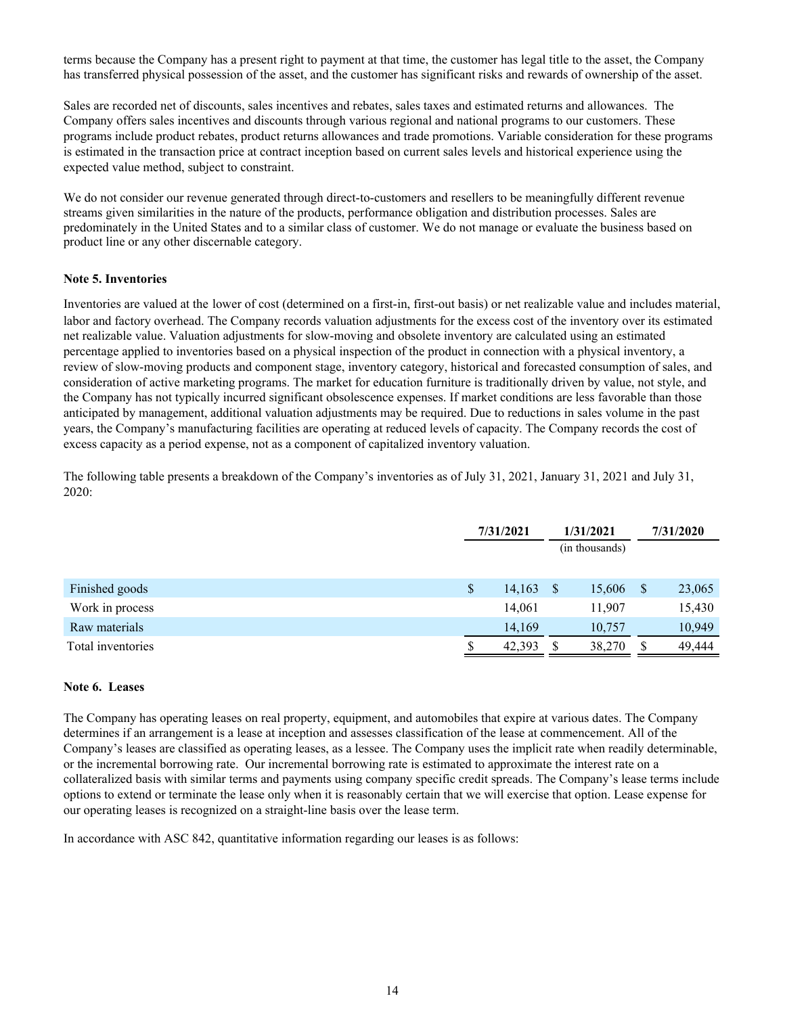terms because the Company has a present right to payment at that time, the customer has legal title to the asset, the Company has transferred physical possession of the asset, and the customer has significant risks and rewards of ownership of the asset.

Sales are recorded net of discounts, sales incentives and rebates, sales taxes and estimated returns and allowances. The Company offers sales incentives and discounts through various regional and national programs to our customers. These programs include product rebates, product returns allowances and trade promotions. Variable consideration for these programs is estimated in the transaction price at contract inception based on current sales levels and historical experience using the expected value method, subject to constraint.

We do not consider our revenue generated through direct-to-customers and resellers to be meaningfully different revenue streams given similarities in the nature of the products, performance obligation and distribution processes. Sales are predominately in the United States and to a similar class of customer. We do not manage or evaluate the business based on product line or any other discernable category.

## **Note 5. Inventories**

Inventories are valued at the lower of cost (determined on a first-in, first-out basis) or net realizable value and includes material, labor and factory overhead. The Company records valuation adjustments for the excess cost of the inventory over its estimated net realizable value. Valuation adjustments for slow-moving and obsolete inventory are calculated using an estimated percentage applied to inventories based on a physical inspection of the product in connection with a physical inventory, a review of slow-moving products and component stage, inventory category, historical and forecasted consumption of sales, and consideration of active marketing programs. The market for education furniture is traditionally driven by value, not style, and the Company has not typically incurred significant obsolescence expenses. If market conditions are less favorable than those anticipated by management, additional valuation adjustments may be required. Due to reductions in sales volume in the past years, the Company's manufacturing facilities are operating at reduced levels of capacity. The Company records the cost of excess capacity as a period expense, not as a component of capitalized inventory valuation.

The following table presents a breakdown of the Company's inventories as of July 31, 2021, January 31, 2021 and July 31, 2020:

|                   | 7/31/2021    |              | 1/31/2021      |               | 7/31/2020 |
|-------------------|--------------|--------------|----------------|---------------|-----------|
|                   |              |              | (in thousands) |               |           |
|                   |              |              |                |               |           |
| Finished goods    | \$<br>14,163 | <sup>S</sup> | 15,606         | <sup>\$</sup> | 23,065    |
| Work in process   | 14,061       |              | 11,907         |               | 15,430    |
| Raw materials     | 14.169       |              | 10,757         |               | 10,949    |
| Total inventories | 42,393       | S            | 38,270         | S             | 49,444    |

#### **Note 6. Leases**

The Company has operating leases on real property, equipment, and automobiles that expire at various dates. The Company determines if an arrangement is a lease at inception and assesses classification of the lease at commencement. All of the Company's leases are classified as operating leases, as a lessee. The Company uses the implicit rate when readily determinable, or the incremental borrowing rate. Our incremental borrowing rate is estimated to approximate the interest rate on a collateralized basis with similar terms and payments using company specific credit spreads. The Company's lease terms include options to extend or terminate the lease only when it is reasonably certain that we will exercise that option. Lease expense for our operating leases is recognized on a straight-line basis over the lease term.

In accordance with ASC 842, quantitative information regarding our leases is as follows: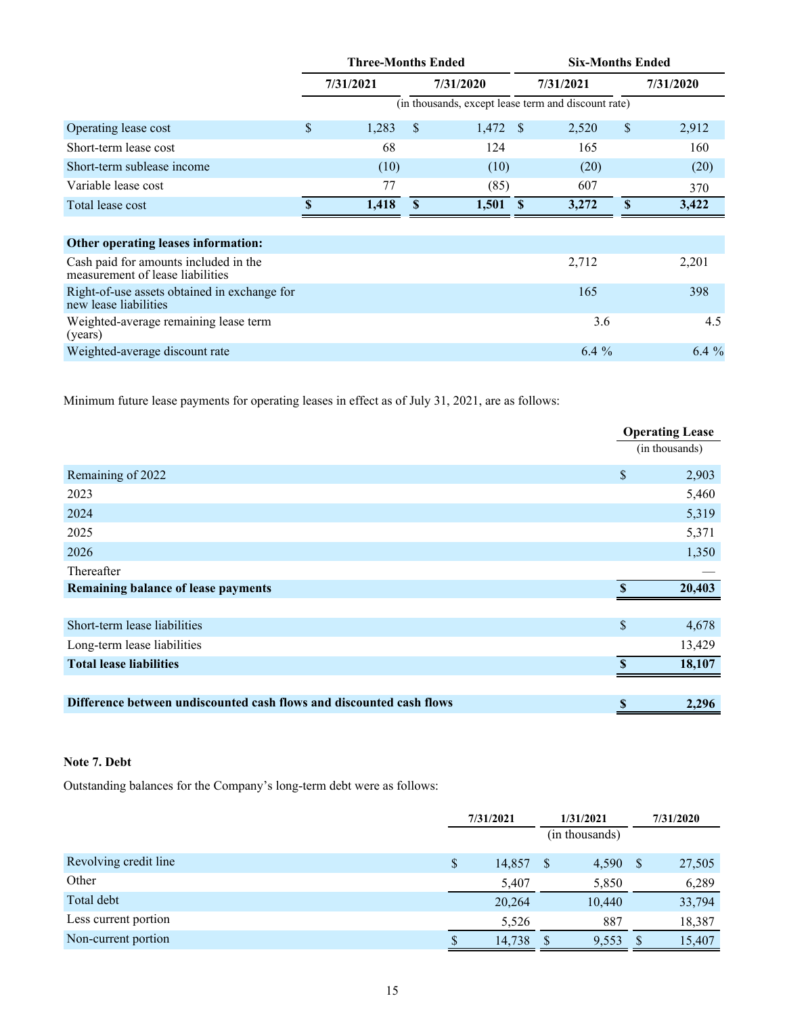|                                                                           | <b>Three-Months Ended</b> |       |                    |           |      | <b>Six-Months Ended</b>                             |              |           |  |  |
|---------------------------------------------------------------------------|---------------------------|-------|--------------------|-----------|------|-----------------------------------------------------|--------------|-----------|--|--|
|                                                                           | 7/31/2021                 |       |                    | 7/31/2020 |      | 7/31/2021                                           |              | 7/31/2020 |  |  |
|                                                                           |                           |       |                    |           |      | (in thousands, except lease term and discount rate) |              |           |  |  |
| Operating lease cost                                                      | \$                        | 1,283 | <sup>\$</sup>      | 1,472     | - S  | 2,520                                               | $\mathbb{S}$ | 2,912     |  |  |
| Short-term lease cost                                                     |                           | 68    |                    | 124       |      | 165                                                 |              | 160       |  |  |
| Short-term sublease income                                                |                           | (10)  |                    | (10)      |      | (20)                                                |              | (20)      |  |  |
| Variable lease cost                                                       |                           | 77    |                    | (85)      |      | 607                                                 |              | 370       |  |  |
| Total lease cost                                                          |                           | 1,418 | $\mathbf{\hat{s}}$ | 1,501     | - \$ | 3,272                                               | $\mathbf{s}$ | 3,422     |  |  |
|                                                                           |                           |       |                    |           |      |                                                     |              |           |  |  |
| Other operating leases information:                                       |                           |       |                    |           |      |                                                     |              |           |  |  |
| Cash paid for amounts included in the<br>measurement of lease liabilities |                           |       |                    |           |      | 2,712                                               |              | 2,201     |  |  |
| Right-of-use assets obtained in exchange for<br>new lease liabilities     |                           |       |                    |           |      | 165                                                 |              | 398       |  |  |
| Weighted-average remaining lease term<br>(years)                          |                           |       |                    |           |      | 3.6                                                 |              | 4.5       |  |  |
| Weighted-average discount rate                                            |                           |       |                    |           |      | $6.4\%$                                             |              | $6.4\%$   |  |  |

Minimum future lease payments for operating leases in effect as of July 31, 2021, are as follows:

|                                                                      |                    | <b>Operating Lease</b> |
|----------------------------------------------------------------------|--------------------|------------------------|
|                                                                      |                    | (in thousands)         |
| Remaining of 2022                                                    | \$                 | 2,903                  |
| 2023                                                                 |                    | 5,460                  |
| 2024                                                                 |                    | 5,319                  |
| 2025                                                                 |                    | 5,371                  |
| 2026                                                                 |                    | 1,350                  |
| Thereafter                                                           |                    |                        |
| <b>Remaining balance of lease payments</b>                           |                    | 20,403                 |
|                                                                      |                    |                        |
| Short-term lease liabilities                                         | \$                 | 4,678                  |
| Long-term lease liabilities                                          |                    | 13,429                 |
| <b>Total lease liabilities</b>                                       | $\mathbf{\hat{s}}$ | 18,107                 |
|                                                                      |                    |                        |
| Difference between undiscounted cash flows and discounted cash flows | \$                 | 2,296                  |

# **Note 7. Debt**

Outstanding balances for the Company's long-term debt were as follows:

|                       | 7/31/2021 |        | 1/31/2021 |                |   | 7/31/2020 |
|-----------------------|-----------|--------|-----------|----------------|---|-----------|
|                       |           |        |           | (in thousands) |   |           |
| Revolving credit line | \$        | 14,857 |           | 4,590          | S | 27,505    |
| Other                 |           | 5,407  |           | 5,850          |   | 6,289     |
| Total debt            |           | 20,264 |           | 10,440         |   | 33,794    |
| Less current portion  |           | 5,526  |           | 887            |   | 18,387    |
| Non-current portion   | S         | 14,738 |           | 9,553          |   | 15,407    |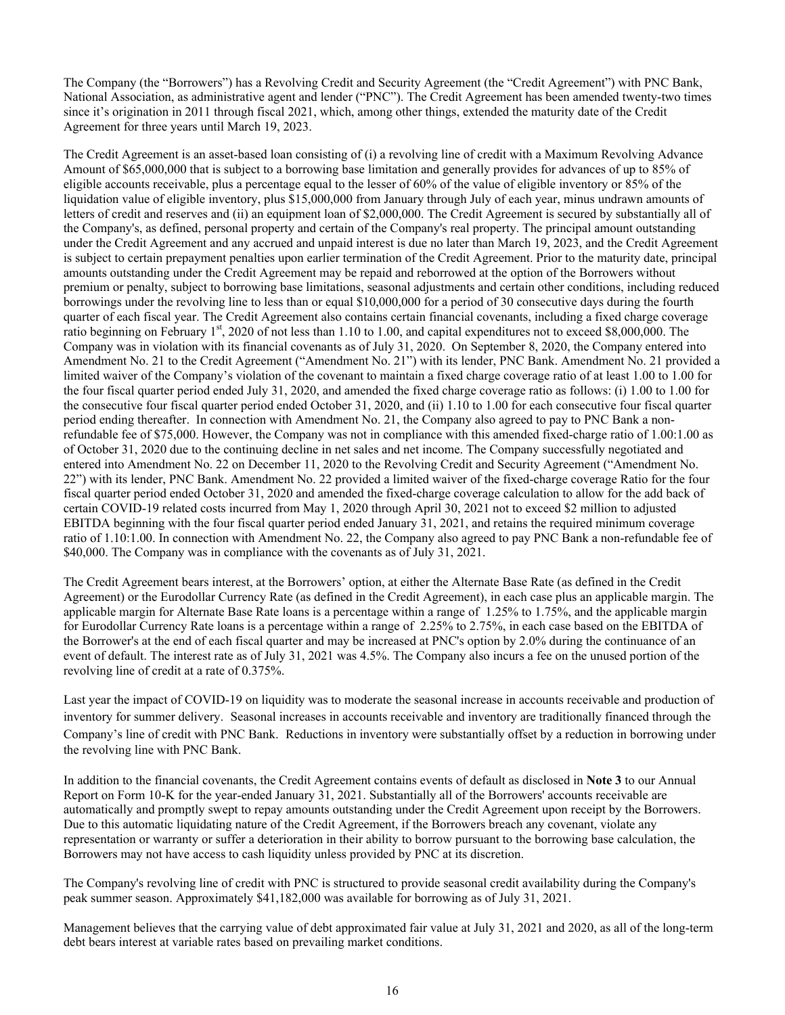The Company (the "Borrowers") has a Revolving Credit and Security Agreement (the "Credit Agreement") with PNC Bank, National Association, as administrative agent and lender ("PNC"). The Credit Agreement has been amended twenty-two times since it's origination in 2011 through fiscal 2021, which, among other things, extended the maturity date of the Credit Agreement for three years until March 19, 2023.

The Credit Agreement is an asset-based loan consisting of (i) a revolving line of credit with a Maximum Revolving Advance Amount of \$65,000,000 that is subject to a borrowing base limitation and generally provides for advances of up to 85% of eligible accounts receivable, plus a percentage equal to the lesser of 60% of the value of eligible inventory or 85% of the liquidation value of eligible inventory, plus \$15,000,000 from January through July of each year, minus undrawn amounts of letters of credit and reserves and (ii) an equipment loan of \$2,000,000. The Credit Agreement is secured by substantially all of the Company's, as defined, personal property and certain of the Company's real property. The principal amount outstanding under the Credit Agreement and any accrued and unpaid interest is due no later than March 19, 2023, and the Credit Agreement is subject to certain prepayment penalties upon earlier termination of the Credit Agreement. Prior to the maturity date, principal amounts outstanding under the Credit Agreement may be repaid and reborrowed at the option of the Borrowers without premium or penalty, subject to borrowing base limitations, seasonal adjustments and certain other conditions, including reduced borrowings under the revolving line to less than or equal \$10,000,000 for a period of 30 consecutive days during the fourth quarter of each fiscal year. The Credit Agreement also contains certain financial covenants, including a fixed charge coverage ratio beginning on February 1<sup>st</sup>, 2020 of not less than 1.10 to 1.00, and capital expenditures not to exceed \$8,000,000. The Company was in violation with its financial covenants as of July 31, 2020. On September 8, 2020, the Company entered into Amendment No. 21 to the Credit Agreement ("Amendment No. 21") with its lender, PNC Bank. Amendment No. 21 provided a limited waiver of the Company's violation of the covenant to maintain a fixed charge coverage ratio of at least 1.00 to 1.00 for the four fiscal quarter period ended July 31, 2020, and amended the fixed charge coverage ratio as follows: (i) 1.00 to 1.00 for the consecutive four fiscal quarter period ended October 31, 2020, and (ii) 1.10 to 1.00 for each consecutive four fiscal quarter period ending thereafter. In connection with Amendment No. 21, the Company also agreed to pay to PNC Bank a nonrefundable fee of \$75,000. However, the Company was not in compliance with this amended fixed-charge ratio of 1.00:1.00 as of October 31, 2020 due to the continuing decline in net sales and net income. The Company successfully negotiated and entered into Amendment No. 22 on December 11, 2020 to the Revolving Credit and Security Agreement ("Amendment No. 22") with its lender, PNC Bank. Amendment No. 22 provided a limited waiver of the fixed-charge coverage Ratio for the four fiscal quarter period ended October 31, 2020 and amended the fixed-charge coverage calculation to allow for the add back of certain COVID-19 related costs incurred from May 1, 2020 through April 30, 2021 not to exceed \$2 million to adjusted EBITDA beginning with the four fiscal quarter period ended January 31, 2021, and retains the required minimum coverage ratio of 1.10:1.00. In connection with Amendment No. 22, the Company also agreed to pay PNC Bank a non-refundable fee of \$40,000. The Company was in compliance with the covenants as of July 31, 2021.

The Credit Agreement bears interest, at the Borrowers' option, at either the Alternate Base Rate (as defined in the Credit Agreement) or the Eurodollar Currency Rate (as defined in the Credit Agreement), in each case plus an applicable margin. The applicable margin for Alternate Base Rate loans is a percentage within a range of 1.25% to 1.75%, and the applicable margin for Eurodollar Currency Rate loans is a percentage within a range of 2.25% to 2.75%, in each case based on the EBITDA of the Borrower's at the end of each fiscal quarter and may be increased at PNC's option by 2.0% during the continuance of an event of default. The interest rate as of July 31, 2021 was 4.5%. The Company also incurs a fee on the unused portion of the revolving line of credit at a rate of 0.375%.

Last year the impact of COVID-19 on liquidity was to moderate the seasonal increase in accounts receivable and production of inventory for summer delivery. Seasonal increases in accounts receivable and inventory are traditionally financed through the Company's line of credit with PNC Bank. Reductions in inventory were substantially offset by a reduction in borrowing under the revolving line with PNC Bank.

In addition to the financial covenants, the Credit Agreement contains events of default as disclosed in **Note 3** to our Annual Report on Form 10-K for the year-ended January 31, 2021. Substantially all of the Borrowers' accounts receivable are automatically and promptly swept to repay amounts outstanding under the Credit Agreement upon receipt by the Borrowers. Due to this automatic liquidating nature of the Credit Agreement, if the Borrowers breach any covenant, violate any representation or warranty or suffer a deterioration in their ability to borrow pursuant to the borrowing base calculation, the Borrowers may not have access to cash liquidity unless provided by PNC at its discretion.

The Company's revolving line of credit with PNC is structured to provide seasonal credit availability during the Company's peak summer season. Approximately \$41,182,000 was available for borrowing as of July 31, 2021.

Management believes that the carrying value of debt approximated fair value at July 31, 2021 and 2020, as all of the long-term debt bears interest at variable rates based on prevailing market conditions.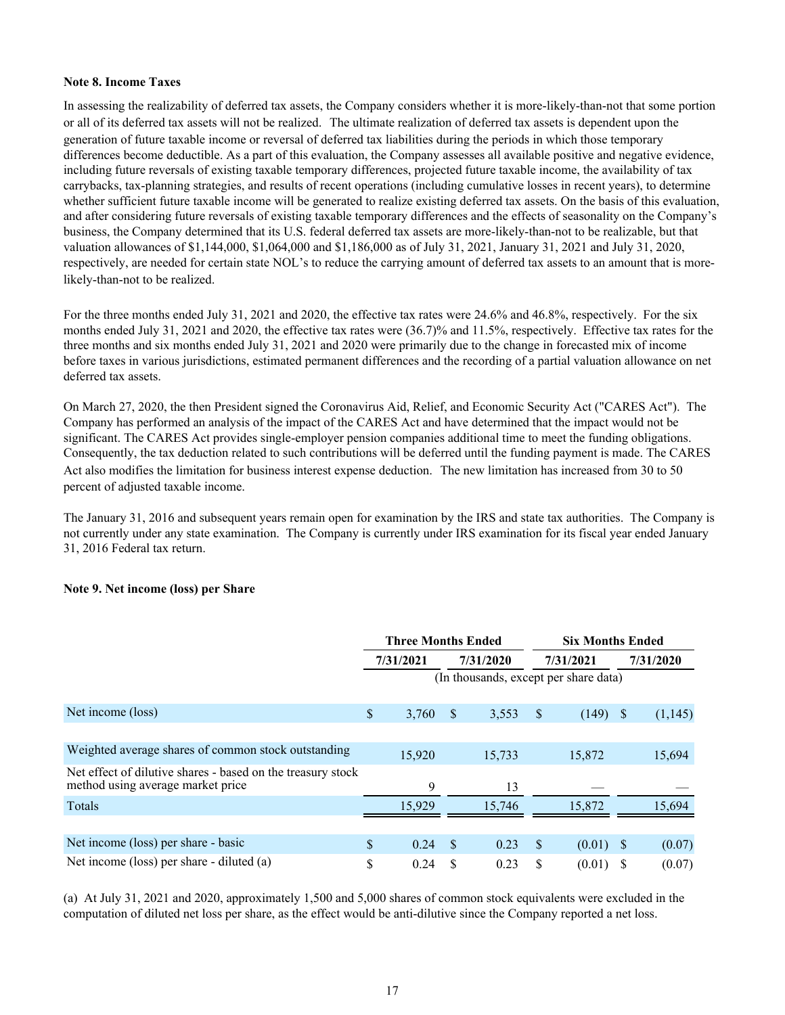#### **Note 8. Income Taxes**

In assessing the realizability of deferred tax assets, the Company considers whether it is more-likely-than-not that some portion or all of its deferred tax assets will not be realized. The ultimate realization of deferred tax assets is dependent upon the generation of future taxable income or reversal of deferred tax liabilities during the periods in which those temporary differences become deductible. As a part of this evaluation, the Company assesses all available positive and negative evidence, including future reversals of existing taxable temporary differences, projected future taxable income, the availability of tax carrybacks, tax-planning strategies, and results of recent operations (including cumulative losses in recent years), to determine whether sufficient future taxable income will be generated to realize existing deferred tax assets. On the basis of this evaluation, and after considering future reversals of existing taxable temporary differences and the effects of seasonality on the Company's business, the Company determined that its U.S. federal deferred tax assets are more-likely-than-not to be realizable, but that valuation allowances of \$1,144,000, \$1,064,000 and \$1,186,000 as of July 31, 2021, January 31, 2021 and July 31, 2020, respectively, are needed for certain state NOL's to reduce the carrying amount of deferred tax assets to an amount that is morelikely-than-not to be realized.

For the three months ended July 31, 2021 and 2020, the effective tax rates were 24.6% and 46.8%, respectively. For the six months ended July 31, 2021 and 2020, the effective tax rates were (36.7)% and 11.5%, respectively. Effective tax rates for the three months and six months ended July 31, 2021 and 2020 were primarily due to the change in forecasted mix of income before taxes in various jurisdictions, estimated permanent differences and the recording of a partial valuation allowance on net deferred tax assets.

On March 27, 2020, the then President signed the Coronavirus Aid, Relief, and Economic Security Act ("CARES Act"). The Company has performed an analysis of the impact of the CARES Act and have determined that the impact would not be significant. The CARES Act provides single-employer pension companies additional time to meet the funding obligations. Consequently, the tax deduction related to such contributions will be deferred until the funding payment is made. The CARES Act also modifies the limitation for business interest expense deduction. The new limitation has increased from 30 to 50 percent of adjusted taxable income.

The January 31, 2016 and subsequent years remain open for examination by the IRS and state tax authorities. The Company is not currently under any state examination. The Company is currently under IRS examination for its fiscal year ended January 31, 2016 Federal tax return.

## **Note 9. Net income (loss) per Share**

|                                                                                                  | <b>Three Months Ended</b> |        |               |        | <b>Six Months Ended</b>               |             |  |           |
|--------------------------------------------------------------------------------------------------|---------------------------|--------|---------------|--------|---------------------------------------|-------------|--|-----------|
|                                                                                                  | 7/31/2021                 |        | 7/31/2020     |        | 7/31/2021                             |             |  | 7/31/2020 |
|                                                                                                  |                           |        |               |        | (In thousands, except per share data) |             |  |           |
| Net income (loss)                                                                                | \$                        | 3,760  | \$            | 3.553  | $\mathcal{S}$                         | $(149)$ \$  |  | (1,145)   |
|                                                                                                  |                           |        |               |        |                                       |             |  |           |
| Weighted average shares of common stock outstanding                                              |                           | 15,920 |               | 15,733 |                                       | 15,872      |  | 15,694    |
| Net effect of dilutive shares - based on the treasury stock<br>method using average market price |                           | 9      |               | 13     |                                       |             |  |           |
| Totals                                                                                           |                           | 15.929 |               | 15.746 |                                       | 15.872      |  | 15,694    |
|                                                                                                  |                           |        |               |        |                                       |             |  |           |
| Net income (loss) per share - basic                                                              | \$                        | 0.24   | <sup>\$</sup> | 0.23   | \$                                    | $(0.01)$ \$ |  | (0.07)    |
| Net income (loss) per share - diluted (a)                                                        | \$                        | 0.24   | \$            | 0.23   | S                                     | $(0.01)$ \$ |  | (0.07)    |

(a) At July 31, 2021 and 2020, approximately 1,500 and 5,000 shares of common stock equivalents were excluded in the computation of diluted net loss per share, as the effect would be anti-dilutive since the Company reported a net loss.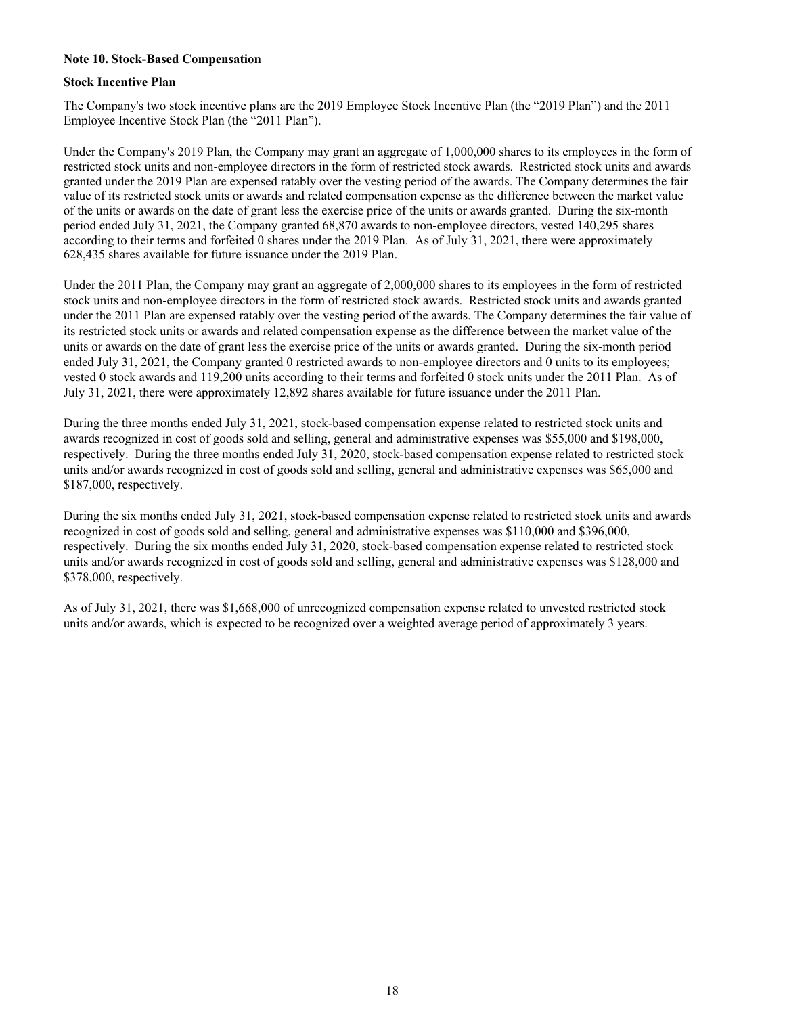## **Note 10. Stock-Based Compensation**

## **Stock Incentive Plan**

The Company's two stock incentive plans are the 2019 Employee Stock Incentive Plan (the "2019 Plan") and the 2011 Employee Incentive Stock Plan (the "2011 Plan").

Under the Company's 2019 Plan, the Company may grant an aggregate of 1,000,000 shares to its employees in the form of restricted stock units and non-employee directors in the form of restricted stock awards. Restricted stock units and awards granted under the 2019 Plan are expensed ratably over the vesting period of the awards. The Company determines the fair value of its restricted stock units or awards and related compensation expense as the difference between the market value of the units or awards on the date of grant less the exercise price of the units or awards granted. During the six-month period ended July 31, 2021, the Company granted 68,870 awards to non-employee directors, vested 140,295 shares according to their terms and forfeited 0 shares under the 2019 Plan. As of July 31, 2021, there were approximately 628,435 shares available for future issuance under the 2019 Plan.

Under the 2011 Plan, the Company may grant an aggregate of 2,000,000 shares to its employees in the form of restricted stock units and non-employee directors in the form of restricted stock awards. Restricted stock units and awards granted under the 2011 Plan are expensed ratably over the vesting period of the awards. The Company determines the fair value of its restricted stock units or awards and related compensation expense as the difference between the market value of the units or awards on the date of grant less the exercise price of the units or awards granted. During the six-month period ended July 31, 2021, the Company granted 0 restricted awards to non-employee directors and 0 units to its employees; vested 0 stock awards and 119,200 units according to their terms and forfeited 0 stock units under the 2011 Plan. As of July 31, 2021, there were approximately 12,892 shares available for future issuance under the 2011 Plan.

During the three months ended July 31, 2021, stock-based compensation expense related to restricted stock units and awards recognized in cost of goods sold and selling, general and administrative expenses was \$55,000 and \$198,000, respectively. During the three months ended July 31, 2020, stock-based compensation expense related to restricted stock units and/or awards recognized in cost of goods sold and selling, general and administrative expenses was \$65,000 and \$187,000, respectively.

During the six months ended July 31, 2021, stock-based compensation expense related to restricted stock units and awards recognized in cost of goods sold and selling, general and administrative expenses was \$110,000 and \$396,000, respectively. During the six months ended July 31, 2020, stock-based compensation expense related to restricted stock units and/or awards recognized in cost of goods sold and selling, general and administrative expenses was \$128,000 and \$378,000, respectively.

As of July 31, 2021, there was \$1,668,000 of unrecognized compensation expense related to unvested restricted stock units and/or awards, which is expected to be recognized over a weighted average period of approximately 3 years.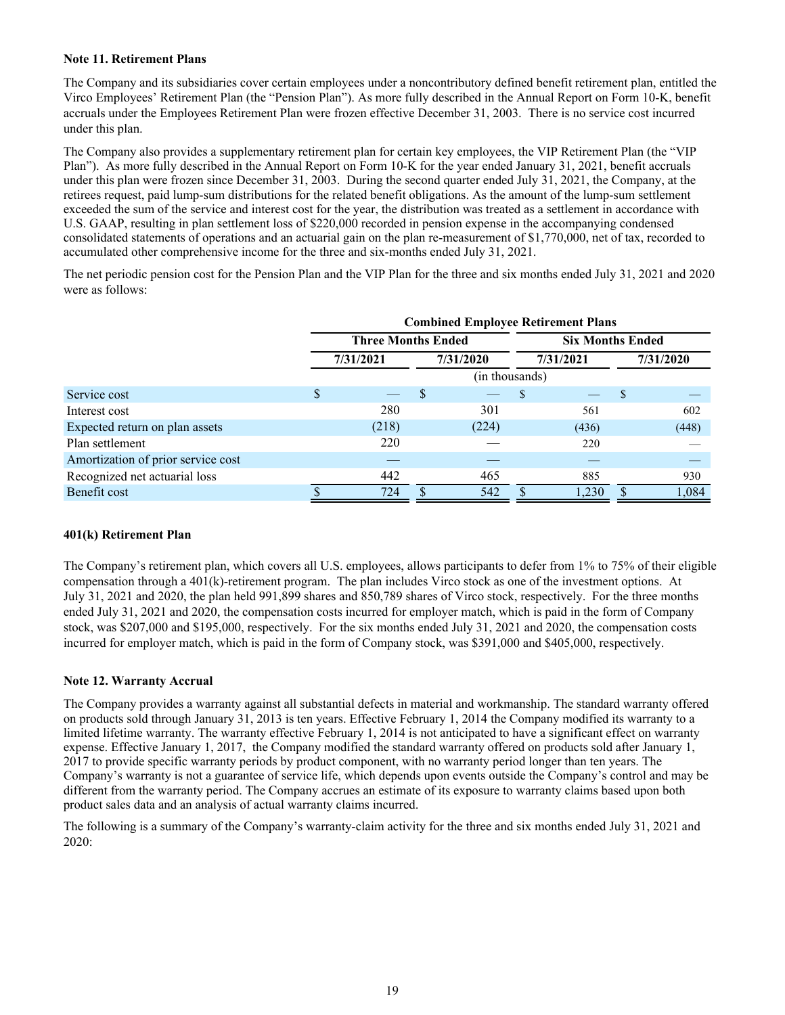#### **Note 11. Retirement Plans**

The Company and its subsidiaries cover certain employees under a noncontributory defined benefit retirement plan, entitled the Virco Employees' Retirement Plan (the "Pension Plan"). As more fully described in the Annual Report on Form 10-K, benefit accruals under the Employees Retirement Plan were frozen effective December 31, 2003. There is no service cost incurred under this plan.

The Company also provides a supplementary retirement plan for certain key employees, the VIP Retirement Plan (the "VIP Plan"). As more fully described in the Annual Report on Form 10-K for the year ended January 31, 2021, benefit accruals under this plan were frozen since December 31, 2003. During the second quarter ended July 31, 2021, the Company, at the retirees request, paid lump-sum distributions for the related benefit obligations. As the amount of the lump-sum settlement exceeded the sum of the service and interest cost for the year, the distribution was treated as a settlement in accordance with U.S. GAAP, resulting in plan settlement loss of \$220,000 recorded in pension expense in the accompanying condensed consolidated statements of operations and an actuarial gain on the plan re-measurement of \$1,770,000, net of tax, recorded to accumulated other comprehensive income for the three and six-months ended July 31, 2021.

The net periodic pension cost for the Pension Plan and the VIP Plan for the three and six months ended July 31, 2021 and 2020 were as follows:

|                                    | <b>Combined Employee Retirement Plans</b> |                           |   |       |           |                         |           |       |  |  |
|------------------------------------|-------------------------------------------|---------------------------|---|-------|-----------|-------------------------|-----------|-------|--|--|
|                                    |                                           | <b>Three Months Ended</b> |   |       |           | <b>Six Months Ended</b> |           |       |  |  |
|                                    | 7/31/2021<br>7/31/2020                    |                           |   |       | 7/31/2021 |                         | 7/31/2020 |       |  |  |
|                                    |                                           | (in thousands)            |   |       |           |                         |           |       |  |  |
| Service cost                       | \$                                        |                           | S |       | S         |                         | S         |       |  |  |
| Interest cost                      |                                           | 280                       |   | 301   |           | 561                     |           | 602   |  |  |
| Expected return on plan assets     |                                           | (218)                     |   | (224) |           | (436)                   |           | (448) |  |  |
| Plan settlement                    |                                           | 220                       |   |       |           | 220                     |           |       |  |  |
| Amortization of prior service cost |                                           |                           |   |       |           |                         |           |       |  |  |
| Recognized net actuarial loss      |                                           | 442                       |   | 465   |           | 885                     |           | 930   |  |  |
| Benefit cost                       |                                           | 724                       |   | 542   |           | 1,230                   |           | 1,084 |  |  |

## **401(k) Retirement Plan**

The Company's retirement plan, which covers all U.S. employees, allows participants to defer from 1% to 75% of their eligible compensation through a 401(k)-retirement program. The plan includes Virco stock as one of the investment options. At July 31, 2021 and 2020, the plan held 991,899 shares and 850,789 shares of Virco stock, respectively. For the three months ended July 31, 2021 and 2020, the compensation costs incurred for employer match, which is paid in the form of Company stock, was \$207,000 and \$195,000, respectively. For the six months ended July 31, 2021 and 2020, the compensation costs incurred for employer match, which is paid in the form of Company stock, was \$391,000 and \$405,000, respectively.

## **Note 12. Warranty Accrual**

The Company provides a warranty against all substantial defects in material and workmanship. The standard warranty offered on products sold through January 31, 2013 is ten years. Effective February 1, 2014 the Company modified its warranty to a limited lifetime warranty. The warranty effective February 1, 2014 is not anticipated to have a significant effect on warranty expense. Effective January 1, 2017, the Company modified the standard warranty offered on products sold after January 1, 2017 to provide specific warranty periods by product component, with no warranty period longer than ten years. The Company's warranty is not a guarantee of service life, which depends upon events outside the Company's control and may be different from the warranty period. The Company accrues an estimate of its exposure to warranty claims based upon both product sales data and an analysis of actual warranty claims incurred.

The following is a summary of the Company's warranty-claim activity for the three and six months ended July 31, 2021 and 2020: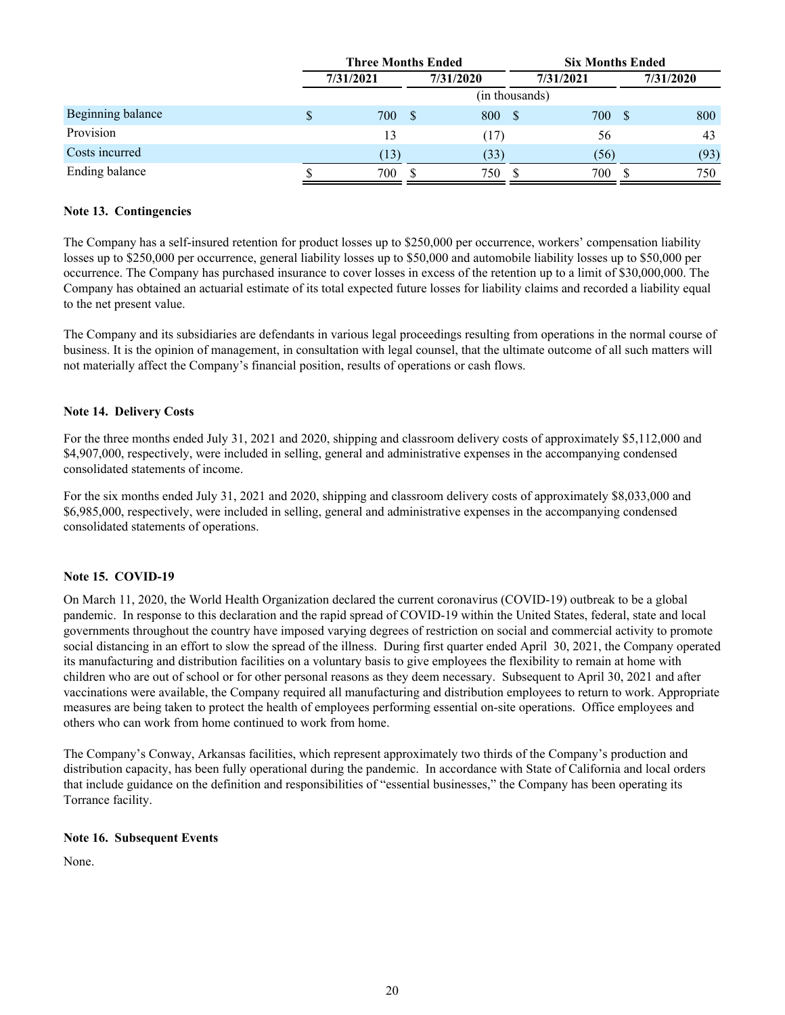|                   | <b>Three Months Ended</b> |           |           |                |  | <b>Six Months Ended</b> |          |           |  |
|-------------------|---------------------------|-----------|-----------|----------------|--|-------------------------|----------|-----------|--|
|                   |                           | 7/31/2021 | 7/31/2020 |                |  | 7/31/2021               |          | 7/31/2020 |  |
|                   |                           |           |           | (in thousands) |  |                         |          |           |  |
| Beginning balance |                           | 700       |           | 800            |  | 700                     | <b>S</b> | 800       |  |
| Provision         |                           | 13        |           | (17)           |  | 56                      |          | 43        |  |
| Costs incurred    |                           | (13)      |           | (33)           |  | (56)                    |          | (93)      |  |
| Ending balance    |                           | 700       |           | 750            |  | 700                     |          | 750       |  |

## **Note 13. Contingencies**

The Company has a self-insured retention for product losses up to \$250,000 per occurrence, workers' compensation liability losses up to \$250,000 per occurrence, general liability losses up to \$50,000 and automobile liability losses up to \$50,000 per occurrence. The Company has purchased insurance to cover losses in excess of the retention up to a limit of \$30,000,000. The Company has obtained an actuarial estimate of its total expected future losses for liability claims and recorded a liability equal to the net present value.

The Company and its subsidiaries are defendants in various legal proceedings resulting from operations in the normal course of business. It is the opinion of management, in consultation with legal counsel, that the ultimate outcome of all such matters will not materially affect the Company's financial position, results of operations or cash flows.

# **Note 14. Delivery Costs**

For the three months ended July 31, 2021 and 2020, shipping and classroom delivery costs of approximately \$5,112,000 and \$4,907,000, respectively, were included in selling, general and administrative expenses in the accompanying condensed consolidated statements of income.

For the six months ended July 31, 2021 and 2020, shipping and classroom delivery costs of approximately \$8,033,000 and \$6,985,000, respectively, were included in selling, general and administrative expenses in the accompanying condensed consolidated statements of operations.

## **Note 15. COVID-19**

On March 11, 2020, the World Health Organization declared the current coronavirus (COVID-19) outbreak to be a global pandemic. In response to this declaration and the rapid spread of COVID-19 within the United States, federal, state and local governments throughout the country have imposed varying degrees of restriction on social and commercial activity to promote social distancing in an effort to slow the spread of the illness. During first quarter ended April 30, 2021, the Company operated its manufacturing and distribution facilities on a voluntary basis to give employees the flexibility to remain at home with children who are out of school or for other personal reasons as they deem necessary. Subsequent to April 30, 2021 and after vaccinations were available, the Company required all manufacturing and distribution employees to return to work. Appropriate measures are being taken to protect the health of employees performing essential on-site operations. Office employees and others who can work from home continued to work from home.

The Company's Conway, Arkansas facilities, which represent approximately two thirds of the Company's production and distribution capacity, has been fully operational during the pandemic. In accordance with State of California and local orders that include guidance on the definition and responsibilities of "essential businesses," the Company has been operating its Torrance facility.

## **Note 16. Subsequent Events**

None.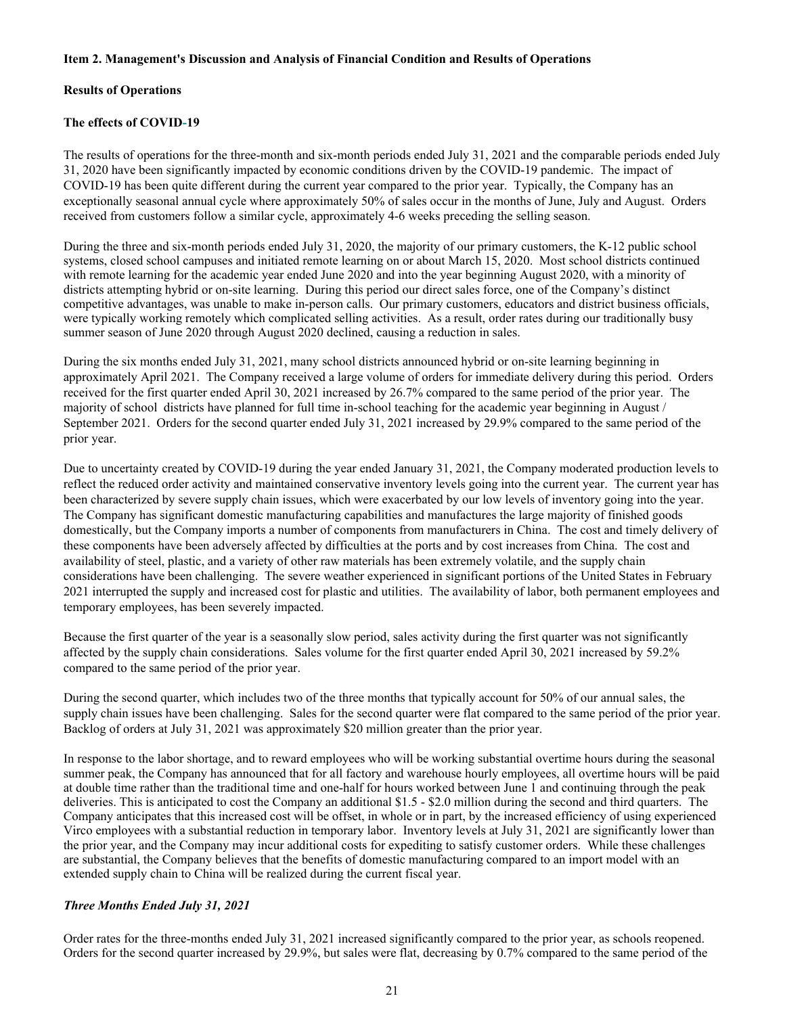## <span id="page-21-0"></span>**Item 2. Management's Discussion and Analysis of Financial Condition and Results of Operations**

## **Results of Operations**

# **The effects of COVID-19**

The results of operations for the three-month and six-month periods ended July 31, 2021 and the comparable periods ended July 31, 2020 have been significantly impacted by economic conditions driven by the COVID-19 pandemic. The impact of COVID-19 has been quite different during the current year compared to the prior year. Typically, the Company has an exceptionally seasonal annual cycle where approximately 50% of sales occur in the months of June, July and August. Orders received from customers follow a similar cycle, approximately 4-6 weeks preceding the selling season.

During the three and six-month periods ended July 31, 2020, the majority of our primary customers, the K-12 public school systems, closed school campuses and initiated remote learning on or about March 15, 2020. Most school districts continued with remote learning for the academic year ended June 2020 and into the year beginning August 2020, with a minority of districts attempting hybrid or on-site learning. During this period our direct sales force, one of the Company's distinct competitive advantages, was unable to make in-person calls. Our primary customers, educators and district business officials, were typically working remotely which complicated selling activities. As a result, order rates during our traditionally busy summer season of June 2020 through August 2020 declined, causing a reduction in sales.

During the six months ended July 31, 2021, many school districts announced hybrid or on-site learning beginning in approximately April 2021. The Company received a large volume of orders for immediate delivery during this period. Orders received for the first quarter ended April 30, 2021 increased by 26.7% compared to the same period of the prior year. The majority of school districts have planned for full time in-school teaching for the academic year beginning in August / September 2021. Orders for the second quarter ended July 31, 2021 increased by 29.9% compared to the same period of the prior year.

Due to uncertainty created by COVID-19 during the year ended January 31, 2021, the Company moderated production levels to reflect the reduced order activity and maintained conservative inventory levels going into the current year. The current year has been characterized by severe supply chain issues, which were exacerbated by our low levels of inventory going into the year. The Company has significant domestic manufacturing capabilities and manufactures the large majority of finished goods domestically, but the Company imports a number of components from manufacturers in China. The cost and timely delivery of these components have been adversely affected by difficulties at the ports and by cost increases from China. The cost and availability of steel, plastic, and a variety of other raw materials has been extremely volatile, and the supply chain considerations have been challenging. The severe weather experienced in significant portions of the United States in February 2021 interrupted the supply and increased cost for plastic and utilities. The availability of labor, both permanent employees and temporary employees, has been severely impacted.

Because the first quarter of the year is a seasonally slow period, sales activity during the first quarter was not significantly affected by the supply chain considerations. Sales volume for the first quarter ended April 30, 2021 increased by 59.2% compared to the same period of the prior year.

During the second quarter, which includes two of the three months that typically account for 50% of our annual sales, the supply chain issues have been challenging. Sales for the second quarter were flat compared to the same period of the prior year. Backlog of orders at July 31, 2021 was approximately \$20 million greater than the prior year.

In response to the labor shortage, and to reward employees who will be working substantial overtime hours during the seasonal summer peak, the Company has announced that for all factory and warehouse hourly employees, all overtime hours will be paid at double time rather than the traditional time and one-half for hours worked between June 1 and continuing through the peak deliveries. This is anticipated to cost the Company an additional \$1.5 - \$2.0 million during the second and third quarters. The Company anticipates that this increased cost will be offset, in whole or in part, by the increased efficiency of using experienced Virco employees with a substantial reduction in temporary labor. Inventory levels at July 31, 2021 are significantly lower than the prior year, and the Company may incur additional costs for expediting to satisfy customer orders. While these challenges are substantial, the Company believes that the benefits of domestic manufacturing compared to an import model with an extended supply chain to China will be realized during the current fiscal year.

# *Three Months Ended July 31, 2021*

Order rates for the three-months ended July 31, 2021 increased significantly compared to the prior year, as schools reopened. Orders for the second quarter increased by 29.9%, but sales were flat, decreasing by 0.7% compared to the same period of the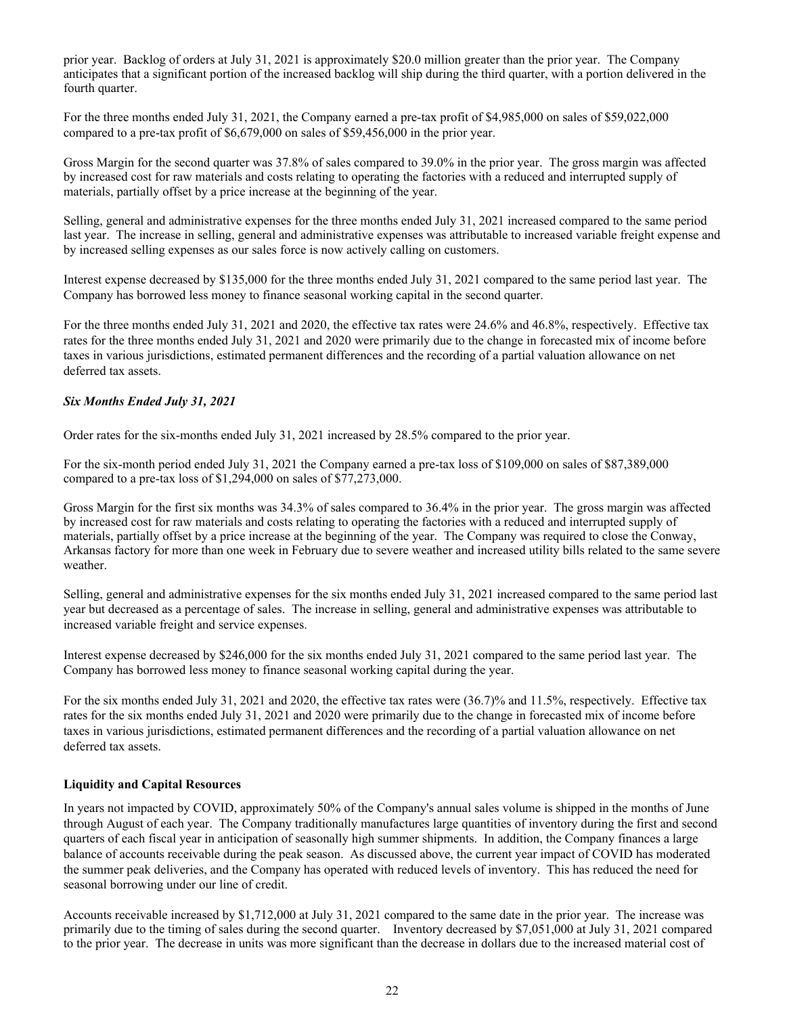prior year. Backlog of orders at July 31, 2021 is approximately \$20.0 million greater than the prior year. The Company anticipates that a significant portion of the increased backlog will ship during the third quarter, with a portion delivered in the fourth quarter.

For the three months ended July 31, 2021, the Company earned a pre-tax profit of \$4,985,000 on sales of \$59,022,000 compared to a pre-tax profit of \$6,679,000 on sales of \$59,456,000 in the prior year.

Gross Margin for the second quarter was 37.8% of sales compared to 39.0% in the prior year. The gross margin was affected by increased cost for raw materials and costs relating to operating the factories with a reduced and interrupted supply of materials, partially offset by a price increase at the beginning of the year.

Selling, general and administrative expenses for the three months ended July 31, 2021 increased compared to the same period last year. The increase in selling, general and administrative expenses was attributable to increased variable freight expense and by increased selling expenses as our sales force is now actively calling on customers.

Interest expense decreased by \$135,000 for the three months ended July 31, 2021 compared to the same period last year. The Company has borrowed less money to finance seasonal working capital in the second quarter.

For the three months ended July 31, 2021 and 2020, the effective tax rates were 24.6% and 46.8%, respectively. Effective tax rates for the three months ended July 31, 2021 and 2020 were primarily due to the change in forecasted mix of income before taxes in various jurisdictions, estimated permanent differences and the recording of a partial valuation allowance on net deferred tax assets.

## *Six Months Ended July 31, 2021*

Order rates for the six-months ended July 31, 2021 increased by 28.5% compared to the prior year.

For the six-month period ended July 31, 2021 the Company earned a pre-tax loss of \$109,000 on sales of \$87,389,000 compared to a pre-tax loss of \$1,294,000 on sales of \$77,273,000.

Gross Margin for the first six months was 34.3% of sales compared to 36.4% in the prior year. The gross margin was affected by increased cost for raw materials and costs relating to operating the factories with a reduced and interrupted supply of materials, partially offset by a price increase at the beginning of the year. The Company was required to close the Conway, Arkansas factory for more than one week in February due to severe weather and increased utility bills related to the same severe weather.

Selling, general and administrative expenses for the six months ended July 31, 2021 increased compared to the same period last year but decreased as a percentage of sales. The increase in selling, general and administrative expenses was attributable to increased variable freight and service expenses.

Interest expense decreased by \$246,000 for the six months ended July 31, 2021 compared to the same period last year. The Company has borrowed less money to finance seasonal working capital during the year.

For the six months ended July 31, 2021 and 2020, the effective tax rates were (36.7)% and 11.5%, respectively. Effective tax rates for the six months ended July 31, 2021 and 2020 were primarily due to the change in forecasted mix of income before taxes in various jurisdictions, estimated permanent differences and the recording of a partial valuation allowance on net deferred tax assets.

## **Liquidity and Capital Resources**

In years not impacted by COVID, approximately 50% of the Company's annual sales volume is shipped in the months of June through August of each year. The Company traditionally manufactures large quantities of inventory during the first and second quarters of each fiscal year in anticipation of seasonally high summer shipments. In addition, the Company finances a large balance of accounts receivable during the peak season. As discussed above, the current year impact of COVID has moderated the summer peak deliveries, and the Company has operated with reduced levels of inventory. This has reduced the need for seasonal borrowing under our line of credit.

Accounts receivable increased by \$1,712,000 at July 31, 2021 compared to the same date in the prior year. The increase was primarily due to the timing of sales during the second quarter. Inventory decreased by \$7,051,000 at July 31, 2021 compared to the prior year. The decrease in units was more significant than the decrease in dollars due to the increased material cost of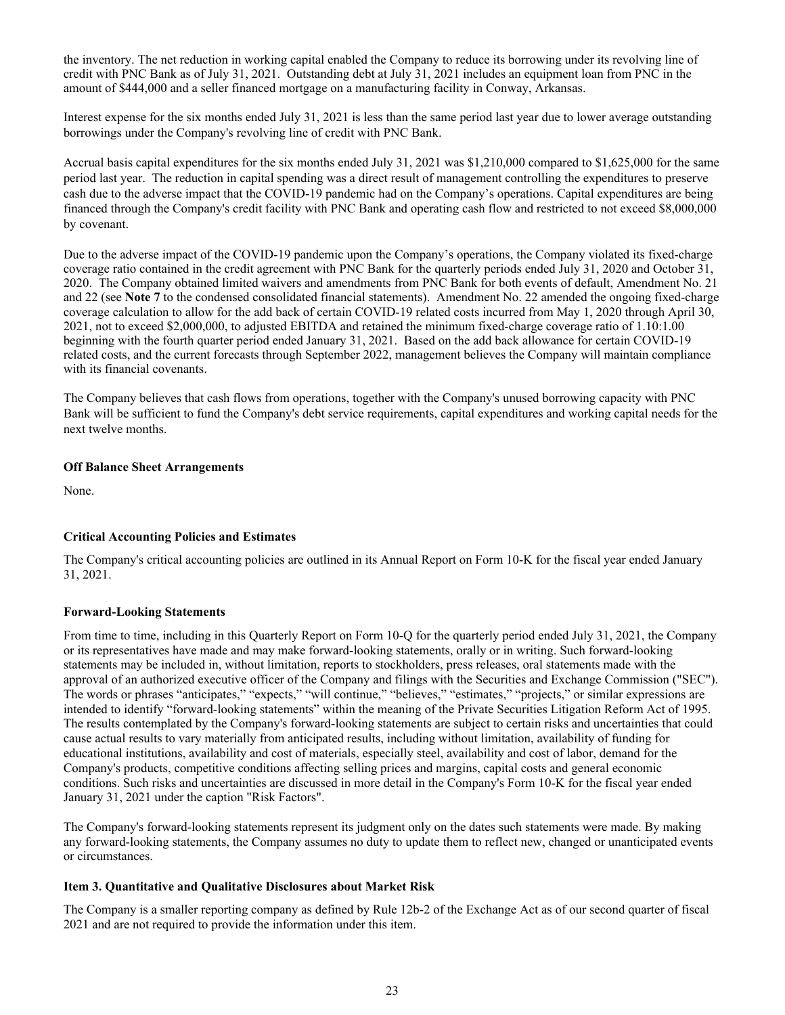<span id="page-23-0"></span>the inventory. The net reduction in working capital enabled the Company to reduce its borrowing under its revolving line of credit with PNC Bank as of July 31, 2021. Outstanding debt at July 31, 2021 includes an equipment loan from PNC in the amount of \$444,000 and a seller financed mortgage on a manufacturing facility in Conway, Arkansas.

Interest expense for the six months ended July 31, 2021 is less than the same period last year due to lower average outstanding borrowings under the Company's revolving line of credit with PNC Bank.

Accrual basis capital expenditures for the six months ended July 31, 2021 was \$1,210,000 compared to \$1,625,000 for the same period last year. The reduction in capital spending was a direct result of management controlling the expenditures to preserve cash due to the adverse impact that the COVID-19 pandemic had on the Company's operations. Capital expenditures are being financed through the Company's credit facility with PNC Bank and operating cash flow and restricted to not exceed \$8,000,000 by covenant.

Due to the adverse impact of the COVID-19 pandemic upon the Company's operations, the Company violated its fixed-charge coverage ratio contained in the credit agreement with PNC Bank for the quarterly periods ended July 31, 2020 and October 31, 2020. The Company obtained limited waivers and amendments from PNC Bank for both events of default, Amendment No. 21 and 22 (see **Note 7** to the condensed consolidated financial statements). Amendment No. 22 amended the ongoing fixed-charge coverage calculation to allow for the add back of certain COVID-19 related costs incurred from May 1, 2020 through April 30, 2021, not to exceed \$2,000,000, to adjusted EBITDA and retained the minimum fixed-charge coverage ratio of 1.10:1.00 beginning with the fourth quarter period ended January 31, 2021. Based on the add back allowance for certain COVID-19 related costs, and the current forecasts through September 2022, management believes the Company will maintain compliance with its financial covenants.

The Company believes that cash flows from operations, together with the Company's unused borrowing capacity with PNC Bank will be sufficient to fund the Company's debt service requirements, capital expenditures and working capital needs for the next twelve months.

#### **Off Balance Sheet Arrangements**

None.

## **Critical Accounting Policies and Estimates**

The Company's critical accounting policies are outlined in its Annual Report on Form 10-K for the fiscal year ended January 31, 2021.

#### **Forward-Looking Statements**

From time to time, including in this Quarterly Report on Form 10-Q for the quarterly period ended July 31, 2021, the Company or its representatives have made and may make forward-looking statements, orally or in writing. Such forward-looking statements may be included in, without limitation, reports to stockholders, press releases, oral statements made with the approval of an authorized executive officer of the Company and filings with the Securities and Exchange Commission ("SEC"). The words or phrases "anticipates," "expects," "will continue," "believes," "estimates," "projects," or similar expressions are intended to identify "forward-looking statements" within the meaning of the Private Securities Litigation Reform Act of 1995. The results contemplated by the Company's forward-looking statements are subject to certain risks and uncertainties that could cause actual results to vary materially from anticipated results, including without limitation, availability of funding for educational institutions, availability and cost of materials, especially steel, availability and cost of labor, demand for the Company's products, competitive conditions affecting selling prices and margins, capital costs and general economic conditions. Such risks and uncertainties are discussed in more detail in the Company's Form 10-K for the fiscal year ended January 31, 2021 under the caption "Risk Factors".

The Company's forward-looking statements represent its judgment only on the dates such statements were made. By making any forward-looking statements, the Company assumes no duty to update them to reflect new, changed or unanticipated events or circumstances.

#### **Item 3. Quantitative and Qualitative Disclosures about Market Risk**

The Company is a smaller reporting company as defined by Rule 12b-2 of the Exchange Act as of our second quarter of fiscal 2021 and are not required to provide the information under this item.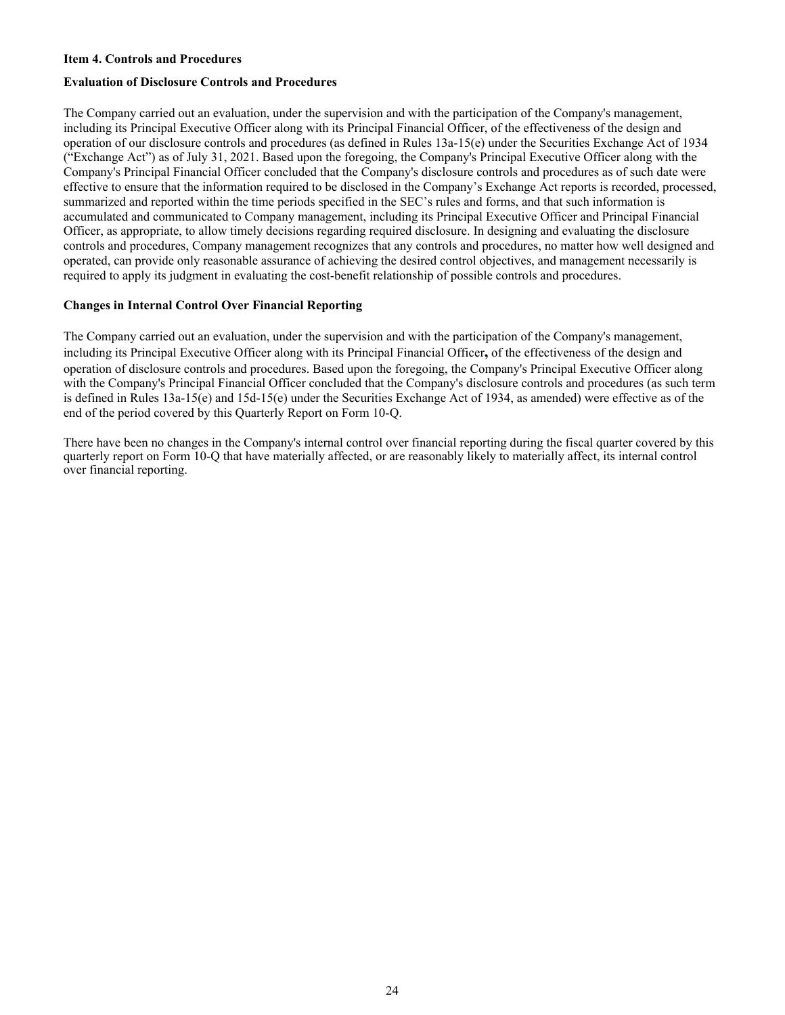#### <span id="page-24-0"></span>**Item 4. Controls and Procedures**

#### **Evaluation of Disclosure Controls and Procedures**

The Company carried out an evaluation, under the supervision and with the participation of the Company's management, including its Principal Executive Officer along with its Principal Financial Officer, of the effectiveness of the design and operation of our disclosure controls and procedures (as defined in Rules 13a-15(e) under the Securities Exchange Act of 1934 ("Exchange Act") as of July 31, 2021. Based upon the foregoing, the Company's Principal Executive Officer along with the Company's Principal Financial Officer concluded that the Company's disclosure controls and procedures as of such date were effective to ensure that the information required to be disclosed in the Company's Exchange Act reports is recorded, processed, summarized and reported within the time periods specified in the SEC's rules and forms, and that such information is accumulated and communicated to Company management, including its Principal Executive Officer and Principal Financial Officer, as appropriate, to allow timely decisions regarding required disclosure. In designing and evaluating the disclosure controls and procedures, Company management recognizes that any controls and procedures, no matter how well designed and operated, can provide only reasonable assurance of achieving the desired control objectives, and management necessarily is required to apply its judgment in evaluating the cost-benefit relationship of possible controls and procedures.

#### **Changes in Internal Control Over Financial Reporting**

The Company carried out an evaluation, under the supervision and with the participation of the Company's management, including its Principal Executive Officer along with its Principal Financial Officer**,** of the effectiveness of the design and operation of disclosure controls and procedures. Based upon the foregoing, the Company's Principal Executive Officer along with the Company's Principal Financial Officer concluded that the Company's disclosure controls and procedures (as such term is defined in Rules 13a-15(e) and 15d-15(e) under the Securities Exchange Act of 1934, as amended) were effective as of the end of the period covered by this Quarterly Report on Form 10-Q.

There have been no changes in the Company's internal control over financial reporting during the fiscal quarter covered by this quarterly report on Form 10-Q that have materially affected, or are reasonably likely to materially affect, its internal control over financial reporting.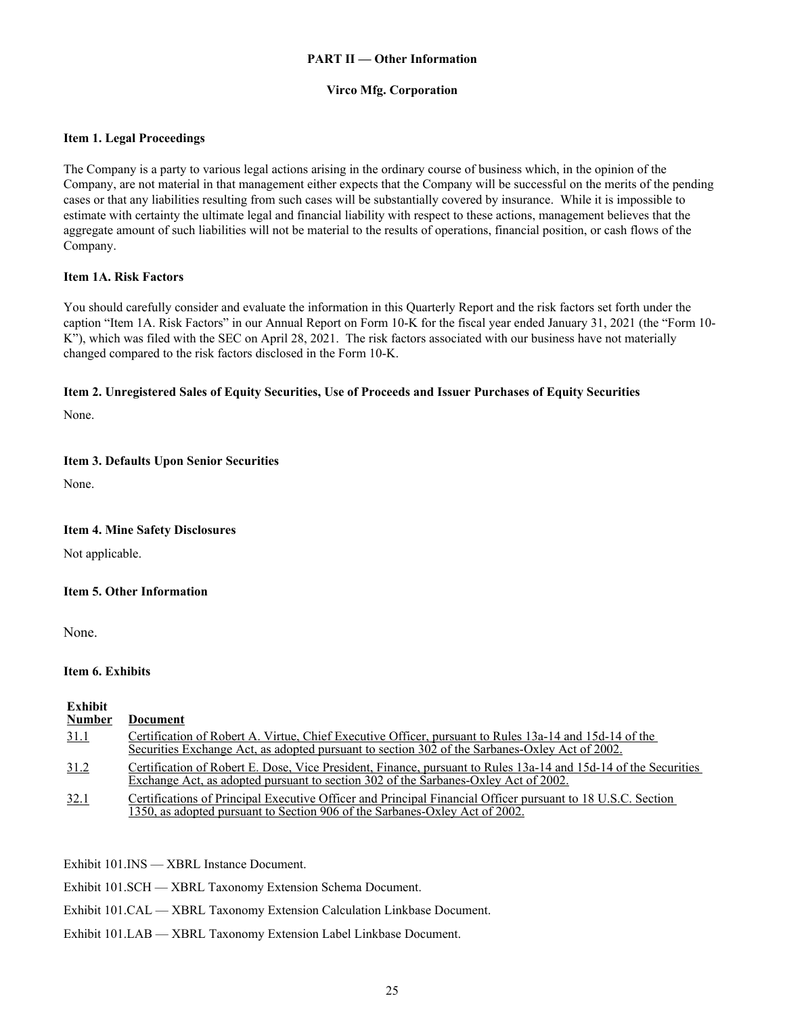## **PART II — Other Information**

#### **Virco Mfg. Corporation**

## <span id="page-25-0"></span>**Item 1. Legal Proceedings**

The Company is a party to various legal actions arising in the ordinary course of business which, in the opinion of the Company, are not material in that management either expects that the Company will be successful on the merits of the pending cases or that any liabilities resulting from such cases will be substantially covered by insurance. While it is impossible to estimate with certainty the ultimate legal and financial liability with respect to these actions, management believes that the aggregate amount of such liabilities will not be material to the results of operations, financial position, or cash flows of the Company.

## **Item 1A. Risk Factors**

You should carefully consider and evaluate the information in this Quarterly Report and the risk factors set forth under the caption "Item 1A. Risk Factors" in our Annual Report on Form 10-K for the fiscal year ended January 31, 2021 (the "Form 10- K"), which was filed with the SEC on April 28, 2021. The risk factors associated with our business have not materially changed compared to the risk factors disclosed in the Form 10-K.

## **Item 2. Unregistered Sales of Equity Securities, Use of Proceeds and Issuer Purchases of Equity Securities**

None.

## **Item 3. Defaults Upon Senior Securities**

None.

#### **Item 4. Mine Safety Disclosures**

Not applicable.

## **Item 5. Other Information**

None.

## **Item 6. Exhibits**

# **Exhibit Number Document** 31.1 [Certification of Robert A. Virtue, Chief Executive Officer, pursuant to Rules 13a-14 and 15d-14 of the](wurl://docs.v1/doc:6627f526fa0449a1943ba4fe08cd1ac8)  [Securities Exchange Act, as adopted pursuant to section 302 of the Sarbanes-Oxley Act of 2002.](wurl://docs.v1/doc:6627f526fa0449a1943ba4fe08cd1ac8) 31.2 [Certification of Robert E. Dose, Vice President, Finance, pursuant to Rules 13a-14 and 15d-14 of the Securities](wurl://docs.v1/doc:9c0c298ff3e44d7298d6e2052d73676f)  [Exchange Act, as adopted pursuant to section 302 of the Sarbanes-Oxley Act of 2002.](wurl://docs.v1/doc:9c0c298ff3e44d7298d6e2052d73676f) 32.1 [Certifications of Principal Executive Officer and Principal Financial Officer pursuant to 18 U.S.C. Section](wurl://docs.v1/doc:cf397d02e03243f9807bfd06e572089b)  [1350, as adopted pursuant to Section 906 of the Sarbanes-Oxley Act of 2002.](wurl://docs.v1/doc:cf397d02e03243f9807bfd06e572089b)

Exhibit 101.INS — XBRL Instance Document.

Exhibit 101.SCH — XBRL Taxonomy Extension Schema Document.

Exhibit 101.CAL — XBRL Taxonomy Extension Calculation Linkbase Document.

Exhibit 101.LAB — XBRL Taxonomy Extension Label Linkbase Document.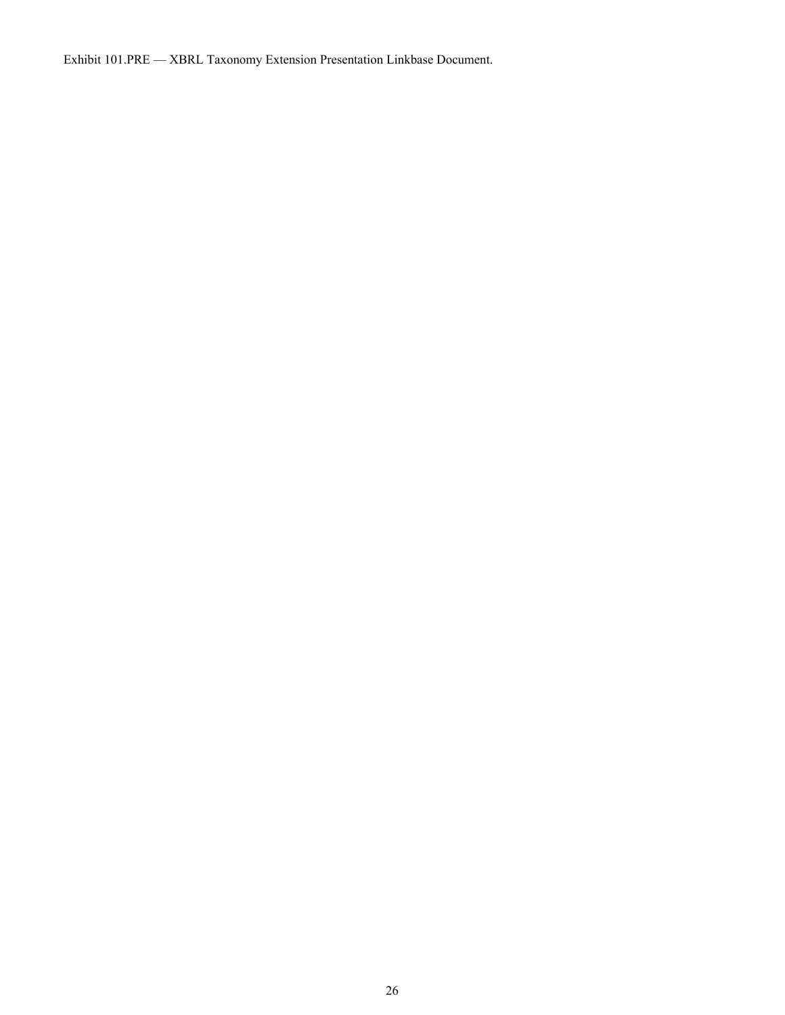Exhibit 101.PRE — XBRL Taxonomy Extension Presentation Linkbase Document.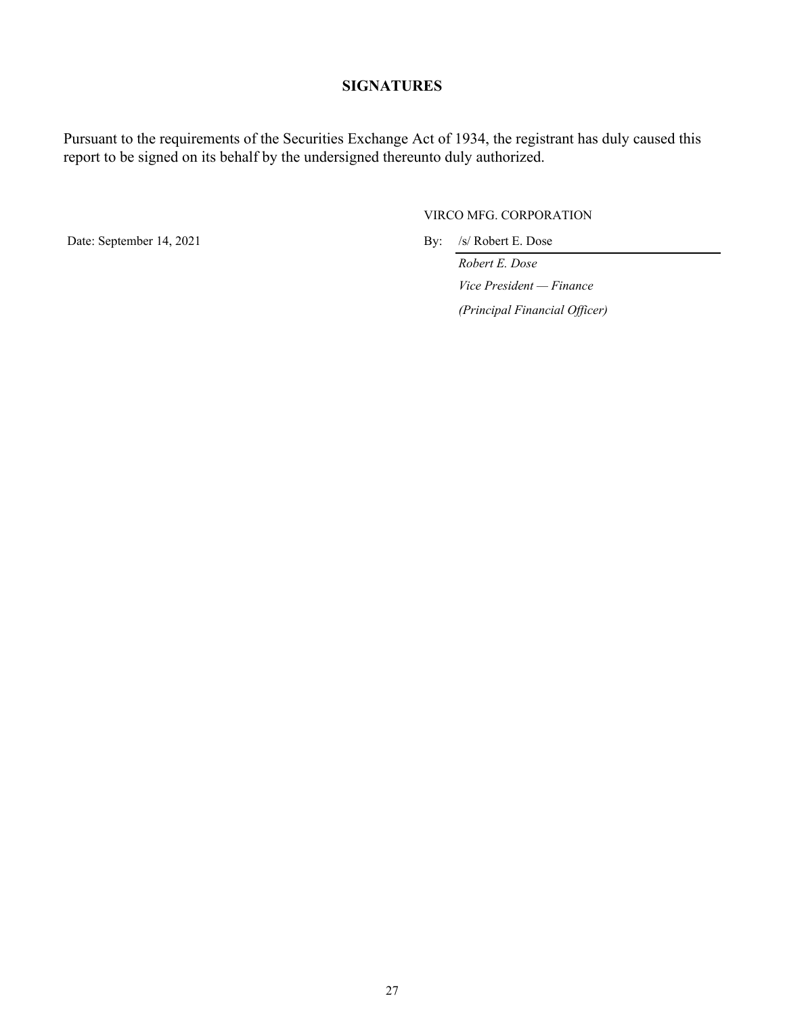# **SIGNATURES**

Pursuant to the requirements of the Securities Exchange Act of 1934, the registrant has duly caused this report to be signed on its behalf by the undersigned thereunto duly authorized.

Date: September 14, 2021 By: /s/ Robert E. Dose

VIRCO MFG. CORPORATION

*Robert E. Dose Vice President — Finance (Principal Financial Officer)*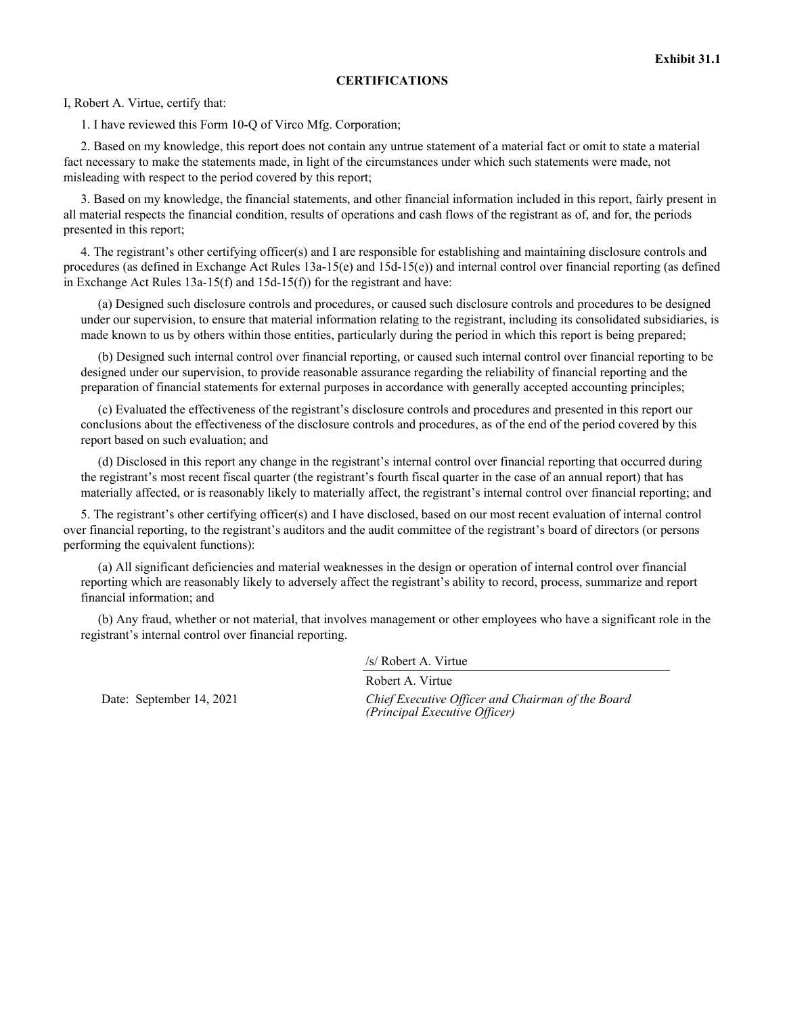#### **CERTIFICATIONS**

I, Robert A. Virtue, certify that:

1. I have reviewed this Form 10-Q of Virco Mfg. Corporation;

2. Based on my knowledge, this report does not contain any untrue statement of a material fact or omit to state a material fact necessary to make the statements made, in light of the circumstances under which such statements were made, not misleading with respect to the period covered by this report;

3. Based on my knowledge, the financial statements, and other financial information included in this report, fairly present in all material respects the financial condition, results of operations and cash flows of the registrant as of, and for, the periods presented in this report;

4. The registrant's other certifying officer(s) and I are responsible for establishing and maintaining disclosure controls and procedures (as defined in Exchange Act Rules 13a-15(e) and 15d-15(e)) and internal control over financial reporting (as defined in Exchange Act Rules 13a-15(f) and 15d-15(f)) for the registrant and have:

(a) Designed such disclosure controls and procedures, or caused such disclosure controls and procedures to be designed under our supervision, to ensure that material information relating to the registrant, including its consolidated subsidiaries, is made known to us by others within those entities, particularly during the period in which this report is being prepared;

(b) Designed such internal control over financial reporting, or caused such internal control over financial reporting to be designed under our supervision, to provide reasonable assurance regarding the reliability of financial reporting and the preparation of financial statements for external purposes in accordance with generally accepted accounting principles;

(c) Evaluated the effectiveness of the registrant's disclosure controls and procedures and presented in this report our conclusions about the effectiveness of the disclosure controls and procedures, as of the end of the period covered by this report based on such evaluation; and

(d) Disclosed in this report any change in the registrant's internal control over financial reporting that occurred during the registrant's most recent fiscal quarter (the registrant's fourth fiscal quarter in the case of an annual report) that has materially affected, or is reasonably likely to materially affect, the registrant's internal control over financial reporting; and

5. The registrant's other certifying officer(s) and I have disclosed, based on our most recent evaluation of internal control over financial reporting, to the registrant's auditors and the audit committee of the registrant's board of directors (or persons performing the equivalent functions):

(a) All significant deficiencies and material weaknesses in the design or operation of internal control over financial reporting which are reasonably likely to adversely affect the registrant's ability to record, process, summarize and report financial information; and

(b) Any fraud, whether or not material, that involves management or other employees who have a significant role in the registrant's internal control over financial reporting.

/s/ Robert A. Virtue

Robert A. Virtue

Date: September 14, 2021 *Chief Executive Officer and Chairman of the Board (Principal Executive Officer)*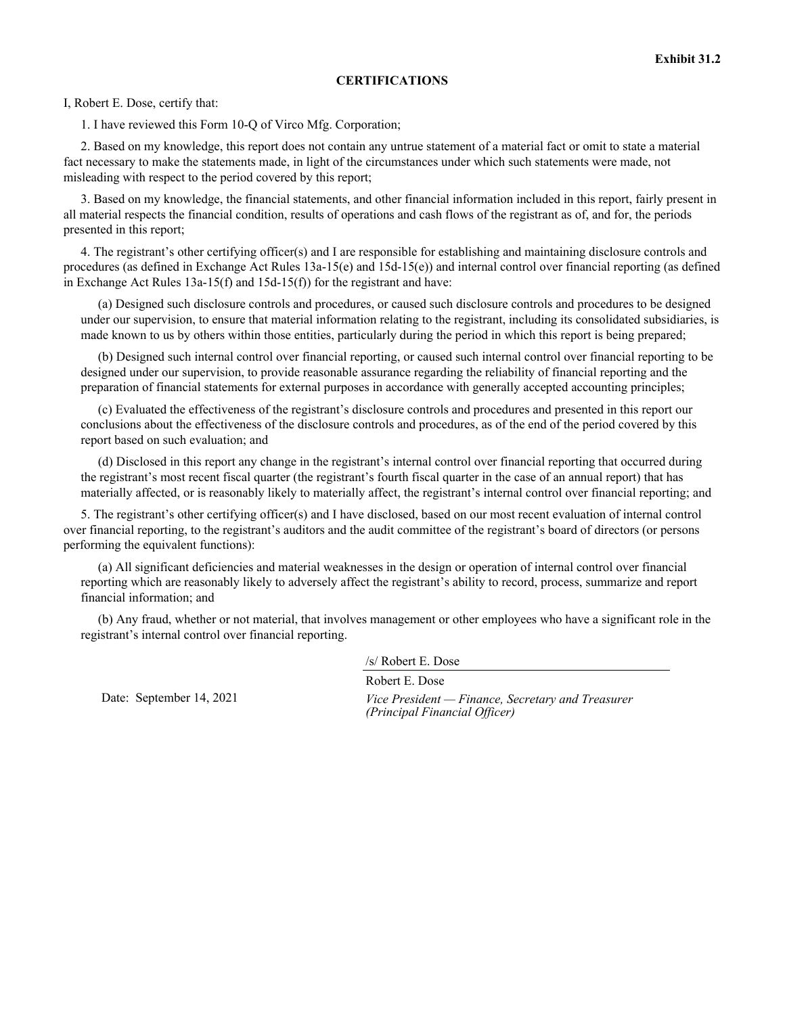#### **CERTIFICATIONS**

I, Robert E. Dose, certify that:

1. I have reviewed this Form 10-Q of Virco Mfg. Corporation;

2. Based on my knowledge, this report does not contain any untrue statement of a material fact or omit to state a material fact necessary to make the statements made, in light of the circumstances under which such statements were made, not misleading with respect to the period covered by this report;

3. Based on my knowledge, the financial statements, and other financial information included in this report, fairly present in all material respects the financial condition, results of operations and cash flows of the registrant as of, and for, the periods presented in this report;

4. The registrant's other certifying officer(s) and I are responsible for establishing and maintaining disclosure controls and procedures (as defined in Exchange Act Rules 13a-15(e) and 15d-15(e)) and internal control over financial reporting (as defined in Exchange Act Rules 13a-15(f) and 15d-15(f)) for the registrant and have:

(a) Designed such disclosure controls and procedures, or caused such disclosure controls and procedures to be designed under our supervision, to ensure that material information relating to the registrant, including its consolidated subsidiaries, is made known to us by others within those entities, particularly during the period in which this report is being prepared;

(b) Designed such internal control over financial reporting, or caused such internal control over financial reporting to be designed under our supervision, to provide reasonable assurance regarding the reliability of financial reporting and the preparation of financial statements for external purposes in accordance with generally accepted accounting principles;

(c) Evaluated the effectiveness of the registrant's disclosure controls and procedures and presented in this report our conclusions about the effectiveness of the disclosure controls and procedures, as of the end of the period covered by this report based on such evaluation; and

(d) Disclosed in this report any change in the registrant's internal control over financial reporting that occurred during the registrant's most recent fiscal quarter (the registrant's fourth fiscal quarter in the case of an annual report) that has materially affected, or is reasonably likely to materially affect, the registrant's internal control over financial reporting; and

5. The registrant's other certifying officer(s) and I have disclosed, based on our most recent evaluation of internal control over financial reporting, to the registrant's auditors and the audit committee of the registrant's board of directors (or persons performing the equivalent functions):

(a) All significant deficiencies and material weaknesses in the design or operation of internal control over financial reporting which are reasonably likely to adversely affect the registrant's ability to record, process, summarize and report financial information; and

(b) Any fraud, whether or not material, that involves management or other employees who have a significant role in the registrant's internal control over financial reporting.

/s/ Robert E. Dose

Robert E. Dose

Date: September 14, 2021 *Vice President — Finance, Secretary and Treasurer (Principal Financial Officer)*